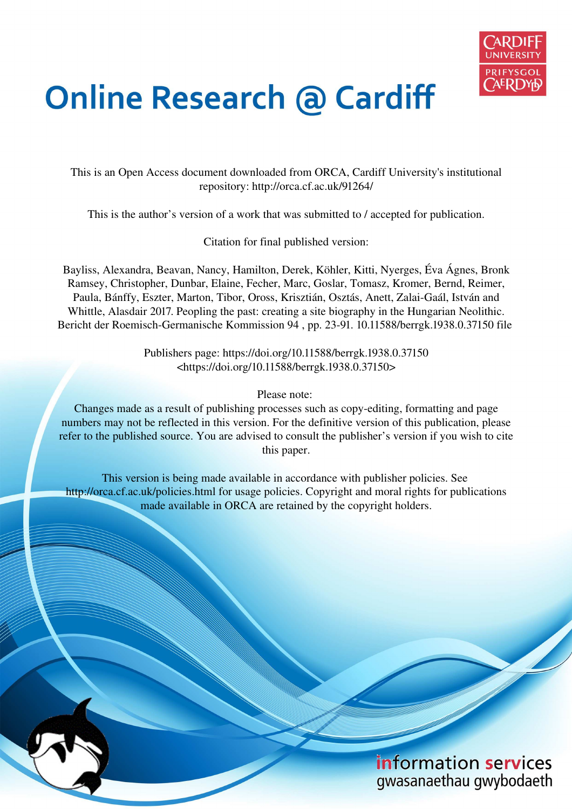

# **Online Research @ Cardiff**

This is an Open Access document downloaded from ORCA, Cardiff University's institutional repository: http://orca.cf.ac.uk/91264/

This is the author's version of a work that was submitted to / accepted for publication.

Citation for final published version:

Bayliss, Alexandra, Beavan, Nancy, Hamilton, Derek, Köhler, Kitti, Nyerges, Éva Ágnes, Bronk Ramsey, Christopher, Dunbar, Elaine, Fecher, Marc, Goslar, Tomasz, Kromer, Bernd, Reimer, Paula, Bánffy, Eszter, Marton, Tibor, Oross, Krisztián, Osztás, Anett, Zalai-Gaál, István and Whittle, Alasdair 2017. Peopling the past: creating a site biography in the Hungarian Neolithic. Bericht der Roemisch-Germanische Kommission 94 , pp. 23-91. 10.11588/berrgk.1938.0.37150 file

> Publishers page: https://doi.org/10.11588/berrgk.1938.0.37150 <https://doi.org/10.11588/berrgk.1938.0.37150>

> > Please note:

Changes made as a result of publishing processes such as copy-editing, formatting and page numbers may not be reflected in this version. For the definitive version of this publication, please refer to the published source. You are advised to consult the publisher's version if you wish to cite this paper.

This version is being made available in accordance with publisher policies. See http://orca.cf.ac.uk/policies.html for usage policies. Copyright and moral rights for publications made available in ORCA are retained by the copyright holders.

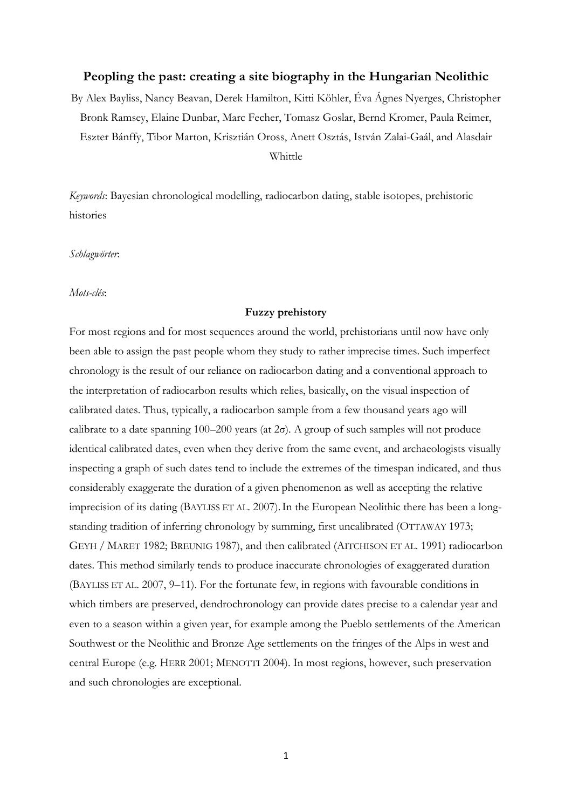## **Peopling the past: creating a site biography in the Hungarian Neolithic**

By Alex Bayliss, Nancy Beavan, Derek Hamilton, Kitti Köhler, Éva Ágnes Nyerges, Christopher Bronk Ramsey, Elaine Dunbar, Marc Fecher, Tomasz Goslar, Bernd Kromer, Paula Reimer, Eszter Bánffy, Tibor Marton, Krisztián Oross, Anett Osztás, István Zalai-Gaál, and Alasdair Whittle

*Keywords*: Bayesian chronological modelling, radiocarbon dating, stable isotopes, prehistoric histories

*Schlagwörter*:

*Mots-clés*:

## **Fuzzy prehistory**

For most regions and for most sequences around the world, prehistorians until now have only been able to assign the past people whom they study to rather imprecise times. Such imperfect chronology is the result of our reliance on radiocarbon dating and a conventional approach to the interpretation of radiocarbon results which relies, basically, on the visual inspection of calibrated dates. Thus, typically, a radiocarbon sample from a few thousand years ago will calibrate to a date spanning  $100-200$  years (at  $2\sigma$ ). A group of such samples will not produce identical calibrated dates, even when they derive from the same event, and archaeologists visually inspecting a graph of such dates tend to include the extremes of the timespan indicated, and thus considerably exaggerate the duration of a given phenomenon as well as accepting the relative imprecision of its dating (BAYLISS ET AL. 2007). In the European Neolithic there has been a longstanding tradition of inferring chronology by summing, first uncalibrated (OTTAWAY 1973; GEYH / MARET 1982; BREUNIG 1987), and then calibrated (AITCHISON ET AL. 1991) radiocarbon dates. This method similarly tends to produce inaccurate chronologies of exaggerated duration (BAYLISS ET AL. 2007, 9–11). For the fortunate few, in regions with favourable conditions in which timbers are preserved, dendrochronology can provide dates precise to a calendar year and even to a season within a given year, for example among the Pueblo settlements of the American Southwest or the Neolithic and Bronze Age settlements on the fringes of the Alps in west and central Europe (e.g. HERR 2001; MENOTTI 2004). In most regions, however, such preservation and such chronologies are exceptional.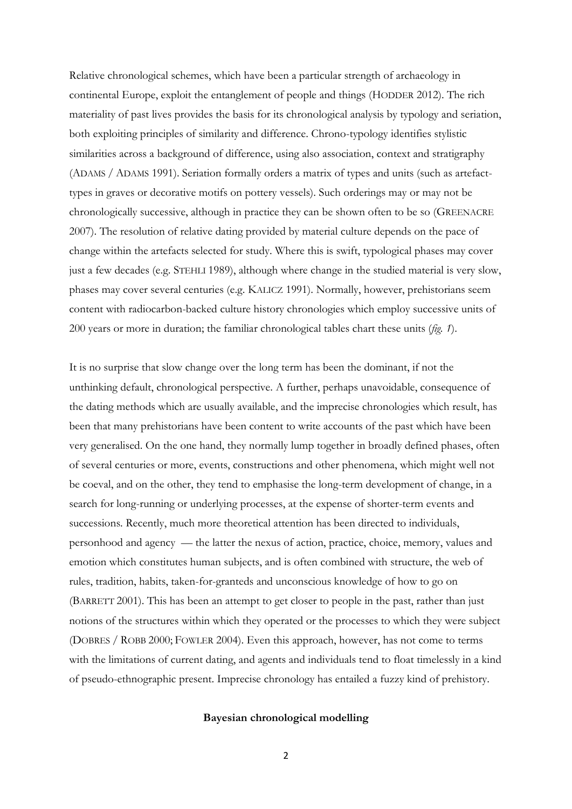Relative chronological schemes, which have been a particular strength of archaeology in continental Europe, exploit the entanglement of people and things (HODDER 2012). The rich materiality of past lives provides the basis for its chronological analysis by typology and seriation, both exploiting principles of similarity and difference. Chrono-typology identifies stylistic similarities across a background of difference, using also association, context and stratigraphy (ADAMS / ADAMS 1991). Seriation formally orders a matrix of types and units (such as artefacttypes in graves or decorative motifs on pottery vessels). Such orderings may or may not be chronologically successive, although in practice they can be shown often to be so (GREENACRE 2007). The resolution of relative dating provided by material culture depends on the pace of change within the artefacts selected for study. Where this is swift, typological phases may cover just a few decades (e.g. STEHLI 1989), although where change in the studied material is very slow, phases may cover several centuries (e.g. KALICZ 1991). Normally, however, prehistorians seem content with radiocarbon-backed culture history chronologies which employ successive units of 200 years or more in duration; the familiar chronological tables chart these units (*fig. 1*).

It is no surprise that slow change over the long term has been the dominant, if not the unthinking default, chronological perspective. A further, perhaps unavoidable, consequence of the dating methods which are usually available, and the imprecise chronologies which result, has been that many prehistorians have been content to write accounts of the past which have been very generalised. On the one hand, they normally lump together in broadly defined phases, often of several centuries or more, events, constructions and other phenomena, which might well not be coeval, and on the other, they tend to emphasise the long-term development of change, in a search for long-running or underlying processes, at the expense of shorter-term events and successions. Recently, much more theoretical attention has been directed to individuals, personhood and agency — the latter the nexus of action, practice, choice, memory, values and emotion which constitutes human subjects, and is often combined with structure, the web of rules, tradition, habits, taken-for-granteds and unconscious knowledge of how to go on (BARRETT 2001). This has been an attempt to get closer to people in the past, rather than just notions of the structures within which they operated or the processes to which they were subject (DOBRES / ROBB 2000; FOWLER 2004). Even this approach, however, has not come to terms with the limitations of current dating, and agents and individuals tend to float timelessly in a kind of pseudo-ethnographic present. Imprecise chronology has entailed a fuzzy kind of prehistory.

#### **Bayesian chronological modelling**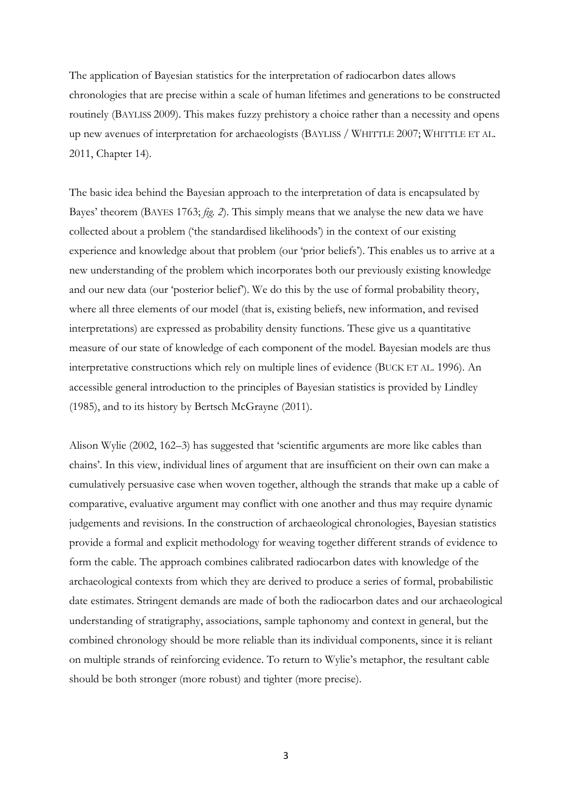The application of Bayesian statistics for the interpretation of radiocarbon dates allows chronologies that are precise within a scale of human lifetimes and generations to be constructed routinely (BAYLISS 2009). This makes fuzzy prehistory a choice rather than a necessity and opens up new avenues of interpretation for archaeologists (BAYLISS / WHITTLE 2007; WHITTLE ET AL. 2011, Chapter 14).

The basic idea behind the Bayesian approach to the interpretation of data is encapsulated by Bayes' theorem (BAYES 1763; *fig. 2*). This simply means that we analyse the new data we have collected about a problem ('the standardised likelihoods') in the context of our existing experience and knowledge about that problem (our 'prior beliefs'). This enables us to arrive at a new understanding of the problem which incorporates both our previously existing knowledge and our new data (our 'posterior belief'). We do this by the use of formal probability theory, where all three elements of our model (that is, existing beliefs, new information, and revised interpretations) are expressed as probability density functions. These give us a quantitative measure of our state of knowledge of each component of the model. Bayesian models are thus interpretative constructions which rely on multiple lines of evidence (BUCK ET AL. 1996). An accessible general introduction to the principles of Bayesian statistics is provided by Lindley (1985), and to its history by Bertsch McGrayne (2011).

Alison Wylie (2002, 162-3) has suggested that 'scientific arguments are more like cables than chains'. In this view, individual lines of argument that are insufficient on their own can make a cumulatively persuasive case when woven together, although the strands that make up a cable of comparative, evaluative argument may conflict with one another and thus may require dynamic judgements and revisions. In the construction of archaeological chronologies, Bayesian statistics provide a formal and explicit methodology for weaving together different strands of evidence to form the cable. The approach combines calibrated radiocarbon dates with knowledge of the archaeological contexts from which they are derived to produce a series of formal, probabilistic date estimates. Stringent demands are made of both the radiocarbon dates and our archaeological understanding of stratigraphy, associations, sample taphonomy and context in general, but the combined chronology should be more reliable than its individual components, since it is reliant on multiple strands of reinforcing evidence. To return to Wylie's metaphor, the resultant cable should be both stronger (more robust) and tighter (more precise).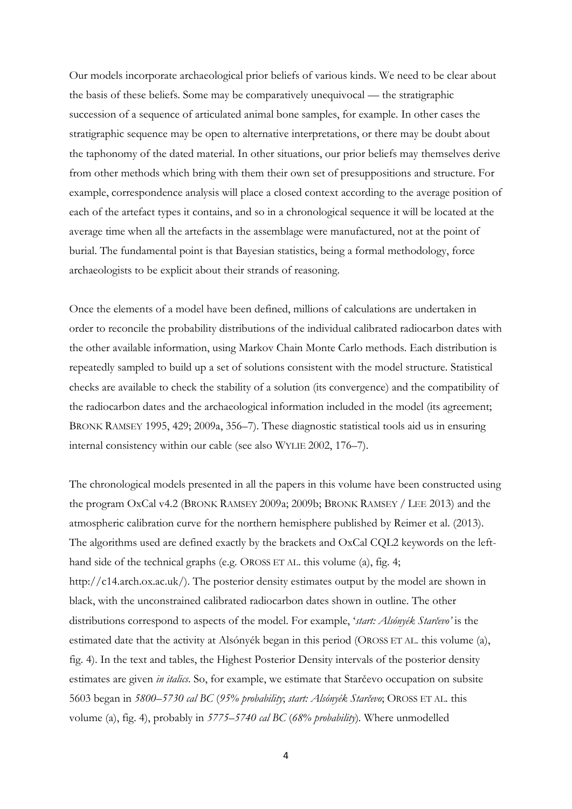Our models incorporate archaeological prior beliefs of various kinds. We need to be clear about the basis of these beliefs. Some may be comparatively unequivocal — the stratigraphic succession of a sequence of articulated animal bone samples, for example. In other cases the stratigraphic sequence may be open to alternative interpretations, or there may be doubt about the taphonomy of the dated material. In other situations, our prior beliefs may themselves derive from other methods which bring with them their own set of presuppositions and structure. For example, correspondence analysis will place a closed context according to the average position of each of the artefact types it contains, and so in a chronological sequence it will be located at the average time when all the artefacts in the assemblage were manufactured, not at the point of burial. The fundamental point is that Bayesian statistics, being a formal methodology, force archaeologists to be explicit about their strands of reasoning.

Once the elements of a model have been defined, millions of calculations are undertaken in order to reconcile the probability distributions of the individual calibrated radiocarbon dates with the other available information, using Markov Chain Monte Carlo methods. Each distribution is repeatedly sampled to build up a set of solutions consistent with the model structure. Statistical checks are available to check the stability of a solution (its convergence) and the compatibility of the radiocarbon dates and the archaeological information included in the model (its agreement; BRONK RAMSEY 1995, 429; 2009a, 356–7). These diagnostic statistical tools aid us in ensuring internal consistency within our cable (see also WYLIE 2002, 176–7).

The chronological models presented in all the papers in this volume have been constructed using the program OxCal v4.2 (BRONK RAMSEY 2009a; 2009b; BRONK RAMSEY / LEE 2013) and the atmospheric calibration curve for the northern hemisphere published by Reimer et al. (2013). The algorithms used are defined exactly by the brackets and OxCal CQL2 keywords on the lefthand side of the technical graphs (e.g. OROSS ET AL. this volume (a), fig. 4; [http://c14.arch.ox.ac.uk/\)](http://c14.arch.ox.ac.uk/). The posterior density estimates output by the model are shown in black, with the unconstrained calibrated radiocarbon dates shown in outline. The other distributions correspond to aspects of the model. For example, '*start: Alsónyék Starčevo'* is the estimated date that the activity at Alsónyék began in this period (OROSS ET AL. this volume (a), fig. 4). In the text and tables, the Highest Posterior Density intervals of the posterior density estimates are given *in italics*. So, for example, we estimate that Starčevo occupation on subsite 5603 began in *5800–5730 cal BC* (*95% probability*; *start: Alsónyék Starčevo*; OROSS ET AL. this volume (a), fig. 4), probably in *5775–5740 cal BC* (*68% probability*)*.* Where unmodelled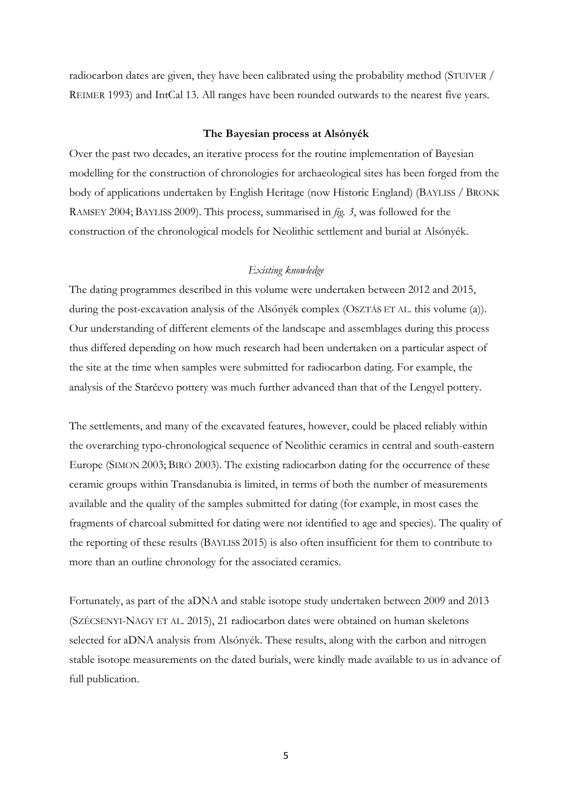radiocarbon dates are given, they have been calibrated using the probability method (STUIVER / REIMER 1993) and IntCal 13. All ranges have been rounded outwards to the nearest five years.

#### **The Bayesian process at Alsónyék**

Over the past two decades, an iterative process for the routine implementation of Bayesian modelling for the construction of chronologies for archaeological sites has been forged from the body of applications undertaken by English Heritage (now Historic England) (BAYLISS / BRONK RAMSEY 2004; BAYLISS 2009). This process, summarised in *fig. 3*, was followed for the construction of the chronological models for Neolithic settlement and burial at Alsónyék.

## *Existing knowledge*

The dating programmes described in this volume were undertaken between 2012 and 2015, during the post-excavation analysis of the Alsónyék complex (OSZTÁS ET AL. this volume (a)). Our understanding of different elements of the landscape and assemblages during this process thus differed depending on how much research had been undertaken on a particular aspect of the site at the time when samples were submitted for radiocarbon dating. For example, the analysis of the Starčevo pottery was much further advanced than that of the Lengyel pottery.

The settlements, and many of the excavated features, however, could be placed reliably within the overarching typo-chronological sequence of Neolithic ceramics in central and south-eastern Europe (SIMON 2003; BIRÓ 2003). The existing radiocarbon dating for the occurrence of these ceramic groups within Transdanubia is limited, in terms of both the number of measurements available and the quality of the samples submitted for dating (for example, in most cases the fragments of charcoal submitted for dating were not identified to age and species). The quality of the reporting of these results (BAYLISS 2015) is also often insufficient for them to contribute to more than an outline chronology for the associated ceramics.

Fortunately, as part of the aDNA and stable isotope study undertaken between 2009 and 2013 (SZÉCSENYI-NAGY ET AL. 2015), 21 radiocarbon dates were obtained on human skeletons selected for aDNA analysis from Alsónyék. These results, along with the carbon and nitrogen stable isotope measurements on the dated burials, were kindly made available to us in advance of full publication.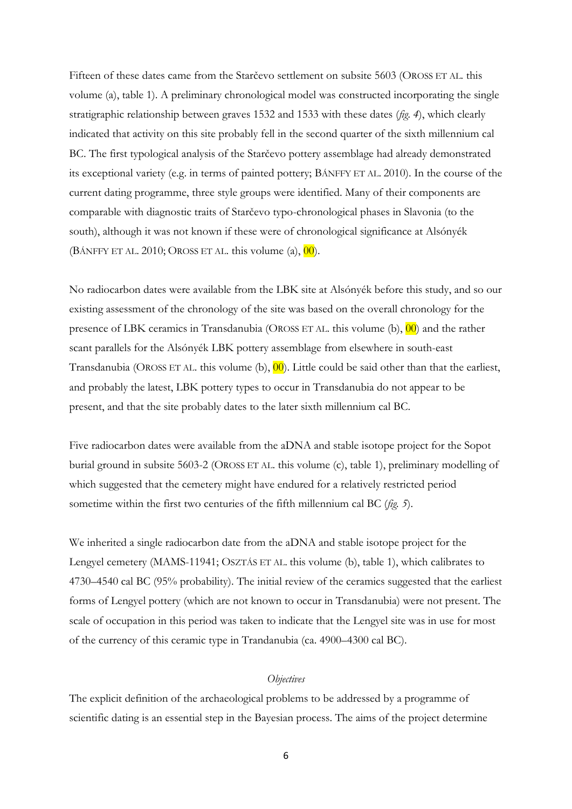Fifteen of these dates came from the Starčevo settlement on subsite 5603 (OROSS ET AL. this volume (a), table 1). A preliminary chronological model was constructed incorporating the single stratigraphic relationship between graves 1532 and 1533 with these dates (*fig. 4*), which clearly indicated that activity on this site probably fell in the second quarter of the sixth millennium cal BC. The first typological analysis of the Starčevo pottery assemblage had already demonstrated its exceptional variety (e.g. in terms of painted pottery; BÁNFFY ET AL. 2010). In the course of the current dating programme, three style groups were identified. Many of their components are comparable with diagnostic traits of Starčevo typo-chronological phases in Slavonia (to the south), although it was not known if these were of chronological significance at Alsónyék (BÁNFFY ET AL. 2010; OROSS ET AL. this volume  $(a)$ ,  $\overline{00}$ ).

No radiocarbon dates were available from the LBK site at Alsónyék before this study, and so our existing assessment of the chronology of the site was based on the overall chronology for the presence of LBK ceramics in Transdanubia (OROSS ET AL. this volume (b), 00) and the rather scant parallels for the Alsónyék LBK pottery assemblage from elsewhere in south-east Transdanubia (OROSS ET AL. this volume (b),  $\overline{00}$ ). Little could be said other than that the earliest, and probably the latest, LBK pottery types to occur in Transdanubia do not appear to be present, and that the site probably dates to the later sixth millennium cal BC.

Five radiocarbon dates were available from the aDNA and stable isotope project for the Sopot burial ground in subsite 5603-2 (OROSS ET AL. this volume (c), table 1), preliminary modelling of which suggested that the cemetery might have endured for a relatively restricted period sometime within the first two centuries of the fifth millennium cal BC (*fig. 5*).

We inherited a single radiocarbon date from the aDNA and stable isotope project for the Lengyel cemetery (MAMS-11941; OSZTÁS ET AL. this volume (b), table 1), which calibrates to 4730–4540 cal BC (95% probability). The initial review of the ceramics suggested that the earliest forms of Lengyel pottery (which are not known to occur in Transdanubia) were not present. The scale of occupation in this period was taken to indicate that the Lengyel site was in use for most of the currency of this ceramic type in Trandanubia (ca. 4900–4300 cal BC).

## *Objectives*

The explicit definition of the archaeological problems to be addressed by a programme of scientific dating is an essential step in the Bayesian process. The aims of the project determine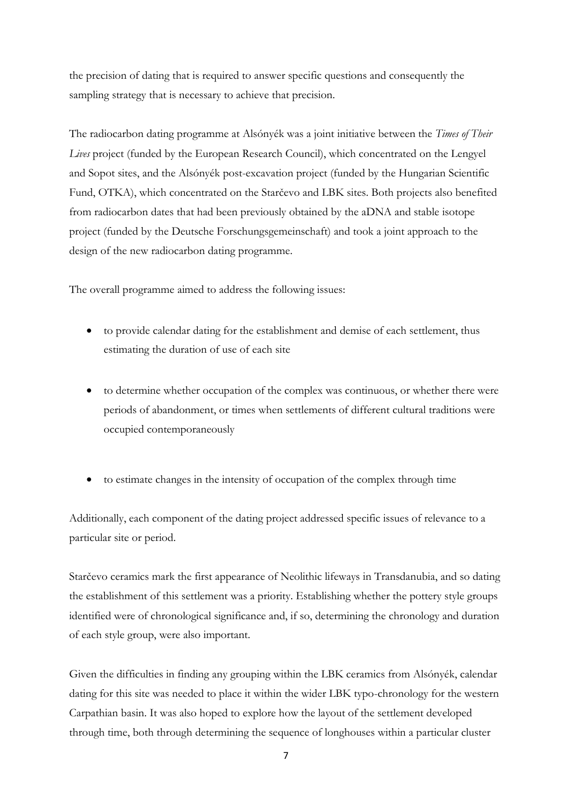the precision of dating that is required to answer specific questions and consequently the sampling strategy that is necessary to achieve that precision.

The radiocarbon dating programme at Alsónyék was a joint initiative between the *Times of Their Lives* project (funded by the European Research Council), which concentrated on the Lengyel and Sopot sites, and the Alsónyék post-excavation project (funded by the Hungarian Scientific Fund, OTKA), which concentrated on the Starčevo and LBK sites. Both projects also benefited from radiocarbon dates that had been previously obtained by the aDNA and stable isotope project (funded by the Deutsche Forschungsgemeinschaft) and took a joint approach to the design of the new radiocarbon dating programme.

The overall programme aimed to address the following issues:

- to provide calendar dating for the establishment and demise of each settlement, thus estimating the duration of use of each site
- to determine whether occupation of the complex was continuous, or whether there were periods of abandonment, or times when settlements of different cultural traditions were occupied contemporaneously
- to estimate changes in the intensity of occupation of the complex through time

Additionally, each component of the dating project addressed specific issues of relevance to a particular site or period.

Starčevo ceramics mark the first appearance of Neolithic lifeways in Transdanubia, and so dating the establishment of this settlement was a priority. Establishing whether the pottery style groups identified were of chronological significance and, if so, determining the chronology and duration of each style group, were also important.

Given the difficulties in finding any grouping within the LBK ceramics from Alsónyék, calendar dating for this site was needed to place it within the wider LBK typo-chronology for the western Carpathian basin. It was also hoped to explore how the layout of the settlement developed through time, both through determining the sequence of longhouses within a particular cluster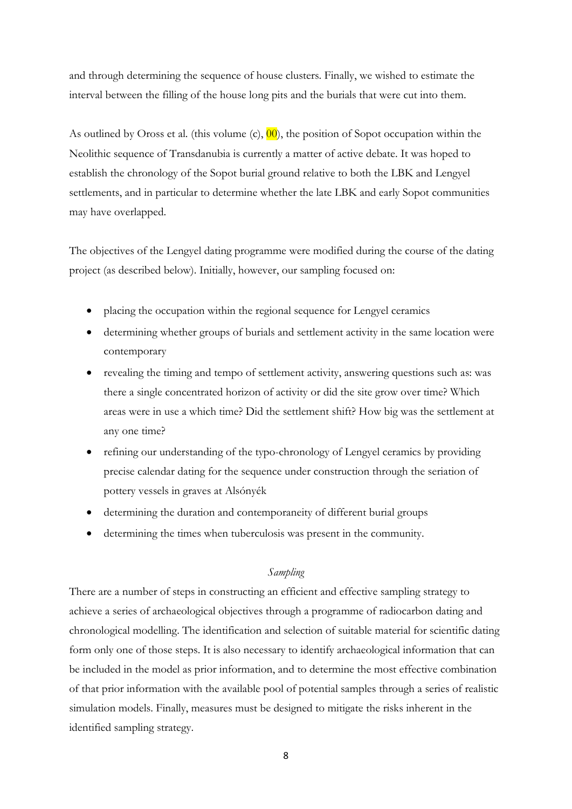and through determining the sequence of house clusters. Finally, we wished to estimate the interval between the filling of the house long pits and the burials that were cut into them.

As outlined by Oross et al. (this volume  $(c)$ ,  $\overline{00}$ ), the position of Sopot occupation within the Neolithic sequence of Transdanubia is currently a matter of active debate. It was hoped to establish the chronology of the Sopot burial ground relative to both the LBK and Lengyel settlements, and in particular to determine whether the late LBK and early Sopot communities may have overlapped.

The objectives of the Lengyel dating programme were modified during the course of the dating project (as described below). Initially, however, our sampling focused on:

- placing the occupation within the regional sequence for Lengyel ceramics
- determining whether groups of burials and settlement activity in the same location were contemporary
- revealing the timing and tempo of settlement activity, answering questions such as: was there a single concentrated horizon of activity or did the site grow over time? Which areas were in use a which time? Did the settlement shift? How big was the settlement at any one time?
- refining our understanding of the typo-chronology of Lengyel ceramics by providing precise calendar dating for the sequence under construction through the seriation of pottery vessels in graves at Alsónyék
- determining the duration and contemporaneity of different burial groups
- determining the times when tuberculosis was present in the community.

## *Sampling*

There are a number of steps in constructing an efficient and effective sampling strategy to achieve a series of archaeological objectives through a programme of radiocarbon dating and chronological modelling. The identification and selection of suitable material for scientific dating form only one of those steps. It is also necessary to identify archaeological information that can be included in the model as prior information, and to determine the most effective combination of that prior information with the available pool of potential samples through a series of realistic simulation models. Finally, measures must be designed to mitigate the risks inherent in the identified sampling strategy.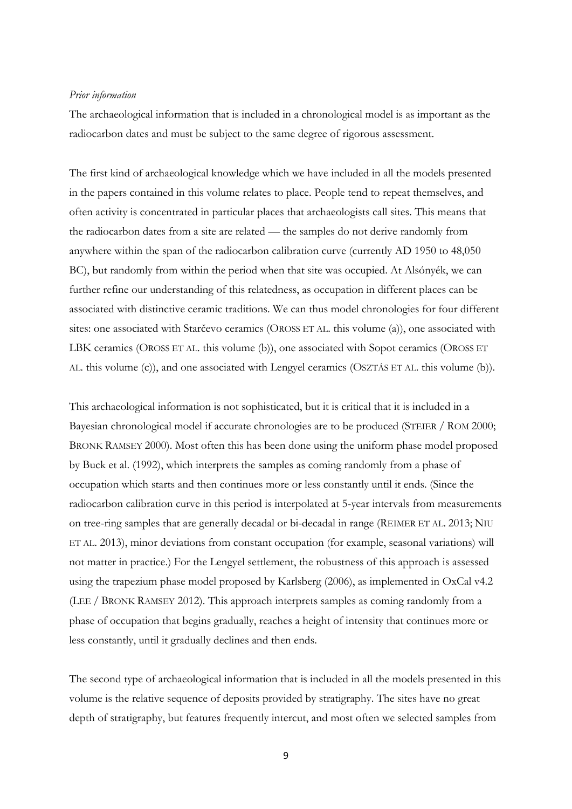#### *Prior information*

The archaeological information that is included in a chronological model is as important as the radiocarbon dates and must be subject to the same degree of rigorous assessment.

The first kind of archaeological knowledge which we have included in all the models presented in the papers contained in this volume relates to place. People tend to repeat themselves, and often activity is concentrated in particular places that archaeologists call sites. This means that the radiocarbon dates from a site are related — the samples do not derive randomly from anywhere within the span of the radiocarbon calibration curve (currently AD 1950 to 48,050 BC), but randomly from within the period when that site was occupied. At Alsónyék, we can further refine our understanding of this relatedness, as occupation in different places can be associated with distinctive ceramic traditions. We can thus model chronologies for four different sites: one associated with Starčevo ceramics (OROSS ET AL. this volume (a)), one associated with LBK ceramics (OROSS ET AL. this volume (b)), one associated with Sopot ceramics (OROSS ET AL. this volume (c)), and one associated with Lengyel ceramics (OSZTÁS ET AL. this volume (b)).

This archaeological information is not sophisticated, but it is critical that it is included in a Bayesian chronological model if accurate chronologies are to be produced (STEIER / ROM 2000; BRONK RAMSEY 2000). Most often this has been done using the uniform phase model proposed by Buck et al. (1992), which interprets the samples as coming randomly from a phase of occupation which starts and then continues more or less constantly until it ends. (Since the radiocarbon calibration curve in this period is interpolated at 5-year intervals from measurements on tree-ring samples that are generally decadal or bi-decadal in range (REIMER ET AL. 2013; NIU ET AL. 2013), minor deviations from constant occupation (for example, seasonal variations) will not matter in practice.) For the Lengyel settlement, the robustness of this approach is assessed using the trapezium phase model proposed by Karlsberg (2006), as implemented in OxCal v4.2 (LEE / BRONK RAMSEY 2012). This approach interprets samples as coming randomly from a phase of occupation that begins gradually, reaches a height of intensity that continues more or less constantly, until it gradually declines and then ends.

The second type of archaeological information that is included in all the models presented in this volume is the relative sequence of deposits provided by stratigraphy. The sites have no great depth of stratigraphy, but features frequently intercut, and most often we selected samples from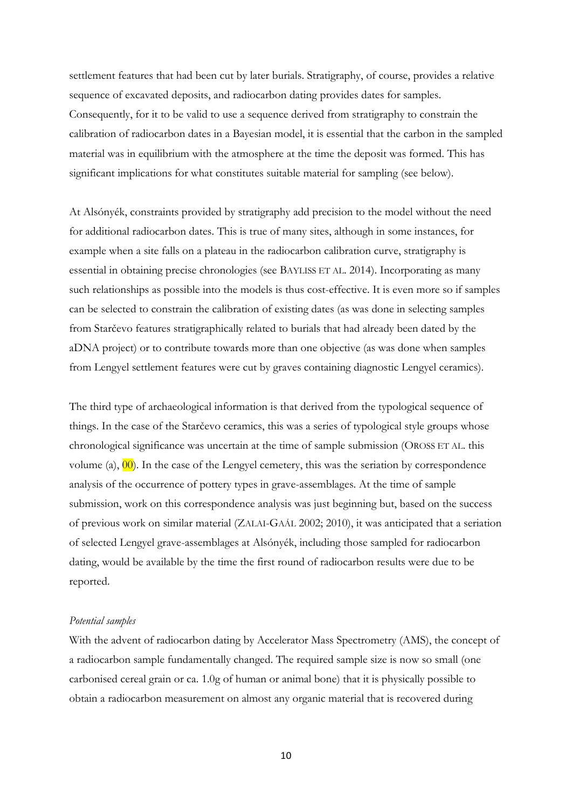settlement features that had been cut by later burials. Stratigraphy, of course, provides a relative sequence of excavated deposits, and radiocarbon dating provides dates for samples. Consequently, for it to be valid to use a sequence derived from stratigraphy to constrain the calibration of radiocarbon dates in a Bayesian model, it is essential that the carbon in the sampled material was in equilibrium with the atmosphere at the time the deposit was formed. This has significant implications for what constitutes suitable material for sampling (see below).

At Alsónyék, constraints provided by stratigraphy add precision to the model without the need for additional radiocarbon dates. This is true of many sites, although in some instances, for example when a site falls on a plateau in the radiocarbon calibration curve, stratigraphy is essential in obtaining precise chronologies (see BAYLISS ET AL. 2014). Incorporating as many such relationships as possible into the models is thus cost-effective. It is even more so if samples can be selected to constrain the calibration of existing dates (as was done in selecting samples from Starčevo features stratigraphically related to burials that had already been dated by the aDNA project) or to contribute towards more than one objective (as was done when samples from Lengyel settlement features were cut by graves containing diagnostic Lengyel ceramics).

The third type of archaeological information is that derived from the typological sequence of things. In the case of the Starčevo ceramics, this was a series of typological style groups whose chronological significance was uncertain at the time of sample submission (OROSS ET AL. this volume (a),  $\overline{00}$ . In the case of the Lengyel cemetery, this was the seriation by correspondence analysis of the occurrence of pottery types in grave-assemblages. At the time of sample submission, work on this correspondence analysis was just beginning but, based on the success of previous work on similar material (ZALAI-GAÁL 2002; 2010), it was anticipated that a seriation of selected Lengyel grave-assemblages at Alsónyék, including those sampled for radiocarbon dating, would be available by the time the first round of radiocarbon results were due to be reported.

#### *Potential samples*

With the advent of radiocarbon dating by Accelerator Mass Spectrometry (AMS), the concept of a radiocarbon sample fundamentally changed. The required sample size is now so small (one carbonised cereal grain or ca. 1.0g of human or animal bone) that it is physically possible to obtain a radiocarbon measurement on almost any organic material that is recovered during

10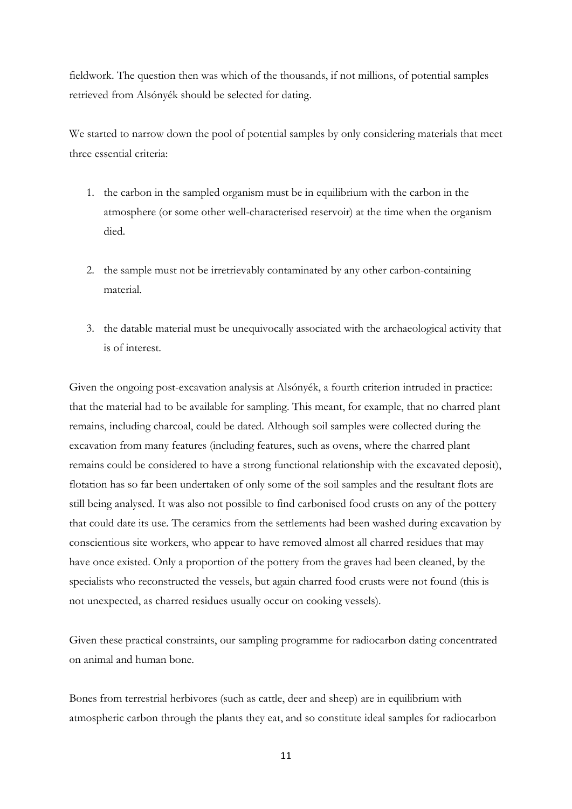fieldwork. The question then was which of the thousands, if not millions, of potential samples retrieved from Alsónyék should be selected for dating.

We started to narrow down the pool of potential samples by only considering materials that meet three essential criteria:

- 1. the carbon in the sampled organism must be in equilibrium with the carbon in the atmosphere (or some other well-characterised reservoir) at the time when the organism died.
- 2. the sample must not be irretrievably contaminated by any other carbon-containing material.
- 3. the datable material must be unequivocally associated with the archaeological activity that is of interest.

Given the ongoing post-excavation analysis at Alsónyék, a fourth criterion intruded in practice: that the material had to be available for sampling. This meant, for example, that no charred plant remains, including charcoal, could be dated. Although soil samples were collected during the excavation from many features (including features, such as ovens, where the charred plant remains could be considered to have a strong functional relationship with the excavated deposit), flotation has so far been undertaken of only some of the soil samples and the resultant flots are still being analysed. It was also not possible to find carbonised food crusts on any of the pottery that could date its use. The ceramics from the settlements had been washed during excavation by conscientious site workers, who appear to have removed almost all charred residues that may have once existed. Only a proportion of the pottery from the graves had been cleaned, by the specialists who reconstructed the vessels, but again charred food crusts were not found (this is not unexpected, as charred residues usually occur on cooking vessels).

Given these practical constraints, our sampling programme for radiocarbon dating concentrated on animal and human bone.

Bones from terrestrial herbivores (such as cattle, deer and sheep) are in equilibrium with atmospheric carbon through the plants they eat, and so constitute ideal samples for radiocarbon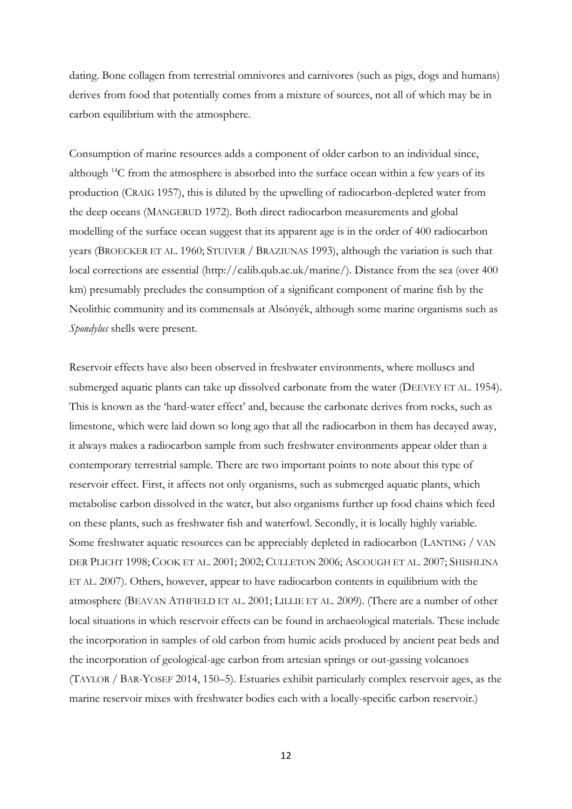dating. Bone collagen from terrestrial omnivores and carnivores (such as pigs, dogs and humans) derives from food that potentially comes from a mixture of sources, not all of which may be in carbon equilibrium with the atmosphere.

Consumption of marine resources adds a component of older carbon to an individual since, although <sup>14</sup>C from the atmosphere is absorbed into the surface ocean within a few years of its production (CRAIG 1957), this is diluted by the upwelling of radiocarbon-depleted water from the deep oceans (MANGERUD 1972). Both direct radiocarbon measurements and global modelling of the surface ocean suggest that its apparent age is in the order of 400 radiocarbon years (BROECKER ET AL. 1960; STUIVER / BRAZIUNAS 1993), although the variation is such that local corrections are essential [\(http://calib.qub.ac.uk/marine/\)](http://calib.qub.ac.uk/marine/). Distance from the sea (over 400 km) presumably precludes the consumption of a significant component of marine fish by the Neolithic community and its commensals at Alsónyék, although some marine organisms such as *Spondylus* shells were present.

Reservoir effects have also been observed in freshwater environments, where molluscs and submerged aquatic plants can take up dissolved carbonate from the water (DEEVEY ET AL. 1954). This is known as the 'hard-water effect' and, because the carbonate derives from rocks, such as limestone, which were laid down so long ago that all the radiocarbon in them has decayed away, it always makes a radiocarbon sample from such freshwater environments appear older than a contemporary terrestrial sample. There are two important points to note about this type of reservoir effect. First, it affects not only organisms, such as submerged aquatic plants, which metabolise carbon dissolved in the water, but also organisms further up food chains which feed on these plants, such as freshwater fish and waterfowl. Secondly, it is locally highly variable. Some freshwater aquatic resources can be appreciably depleted in radiocarbon (LANTING / VAN DER PLICHT 1998; COOK ET AL. 2001; 2002; CULLETON 2006; ASCOUGH ET AL. 2007; SHISHLINA ET AL. 2007). Others, however, appear to have radiocarbon contents in equilibrium with the atmosphere (BEAVAN ATHFIELD ET AL. 2001; LILLIE ET AL. 2009). (There are a number of other local situations in which reservoir effects can be found in archaeological materials. These include the incorporation in samples of old carbon from humic acids produced by ancient peat beds and the incorporation of geological-age carbon from artesian springs or out-gassing volcanoes (TAYLOR / BAR-YOSEF 2014, 150–5). Estuaries exhibit particularly complex reservoir ages, as the marine reservoir mixes with freshwater bodies each with a locally-specific carbon reservoir.)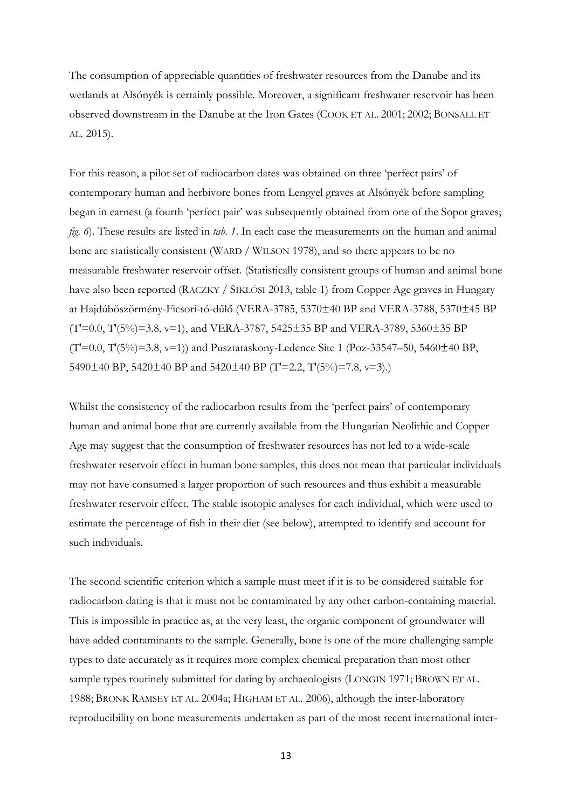The consumption of appreciable quantities of freshwater resources from the Danube and its wetlands at Alsónyék is certainly possible. Moreover, a significant freshwater reservoir has been observed downstream in the Danube at the Iron Gates (COOK ET AL. 2001; 2002; BONSALL ET AL. 2015).

For this reason, a pilot set of radiocarbon dates was obtained on three 'perfect pairs' of contemporary human and herbivore bones from Lengyel graves at Alsónyék before sampling began in earnest (a fourth 'perfect pair' was subsequently obtained from one of the Sopot graves; *fig. 6*). These results are listed in *tab. 1*. In each case the measurements on the human and animal bone are statistically consistent (WARD / WILSON 1978), and so there appears to be no measurable freshwater reservoir offset. (Statistically consistent groups of human and animal bone have also been reported (RACZKY / SIKLÓSI 2013, table 1) from Copper Age graves in Hungary at Hajdúböszörmény-Ficsori-tó-dűlő (VERA-3785, 5370±40 BP and VERA-3788, 5370±45 BP  $(T=0.0, T'(5\%) = 3.8, v=1)$ , and VERA-3787, 5425±35 BP and VERA-3789, 5360±35 BP  $(T=0.0, T'(5\%) = 3.8, v=1)$ ) and Pusztataskony-Ledence Site 1 (Poz-33547–50, 5460±40 BP, 5490±40 BP, 5420±40 BP and 5420±40 BP (T′=2.2, T′(5%)=7.8, ν=3).)

Whilst the consistency of the radiocarbon results from the 'perfect pairs' of contemporary human and animal bone that are currently available from the Hungarian Neolithic and Copper Age may suggest that the consumption of freshwater resources has not led to a wide-scale freshwater reservoir effect in human bone samples, this does not mean that particular individuals may not have consumed a larger proportion of such resources and thus exhibit a measurable freshwater reservoir effect. The stable isotopic analyses for each individual, which were used to estimate the percentage of fish in their diet (see below), attempted to identify and account for such individuals.

The second scientific criterion which a sample must meet if it is to be considered suitable for radiocarbon dating is that it must not be contaminated by any other carbon-containing material. This is impossible in practice as, at the very least, the organic component of groundwater will have added contaminants to the sample. Generally, bone is one of the more challenging sample types to date accurately as it requires more complex chemical preparation than most other sample types routinely submitted for dating by archaeologists (LONGIN 1971; BROWN ET AL. 1988; BRONK RAMSEY ET AL. 2004a; HIGHAM ET AL. 2006), although the inter-laboratory reproducibility on bone measurements undertaken as part of the most recent international inter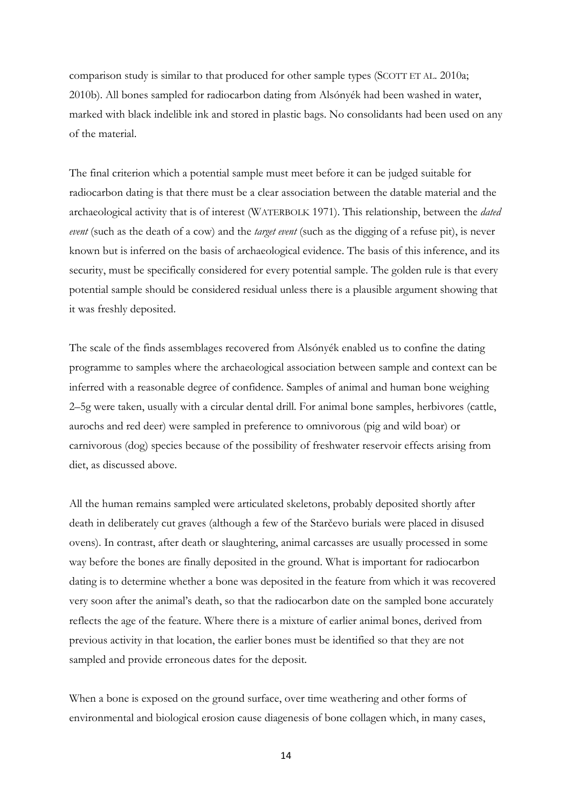comparison study is similar to that produced for other sample types (SCOTT ET AL. 2010a; 2010b). All bones sampled for radiocarbon dating from Alsónyék had been washed in water, marked with black indelible ink and stored in plastic bags. No consolidants had been used on any of the material.

The final criterion which a potential sample must meet before it can be judged suitable for radiocarbon dating is that there must be a clear association between the datable material and the archaeological activity that is of interest (WATERBOLK 1971). This relationship, between the *dated event* (such as the death of a cow) and the *target event* (such as the digging of a refuse pit), is never known but is inferred on the basis of archaeological evidence. The basis of this inference, and its security, must be specifically considered for every potential sample. The golden rule is that every potential sample should be considered residual unless there is a plausible argument showing that it was freshly deposited.

The scale of the finds assemblages recovered from Alsónyék enabled us to confine the dating programme to samples where the archaeological association between sample and context can be inferred with a reasonable degree of confidence. Samples of animal and human bone weighing 2–5g were taken, usually with a circular dental drill. For animal bone samples, herbivores (cattle, aurochs and red deer) were sampled in preference to omnivorous (pig and wild boar) or carnivorous (dog) species because of the possibility of freshwater reservoir effects arising from diet, as discussed above.

All the human remains sampled were articulated skeletons, probably deposited shortly after death in deliberately cut graves (although a few of the Starčevo burials were placed in disused ovens). In contrast, after death or slaughtering, animal carcasses are usually processed in some way before the bones are finally deposited in the ground. What is important for radiocarbon dating is to determine whether a bone was deposited in the feature from which it was recovered very soon after the animal's death, so that the radiocarbon date on the sampled bone accurately reflects the age of the feature. Where there is a mixture of earlier animal bones, derived from previous activity in that location, the earlier bones must be identified so that they are not sampled and provide erroneous dates for the deposit.

When a bone is exposed on the ground surface, over time weathering and other forms of environmental and biological erosion cause diagenesis of bone collagen which, in many cases,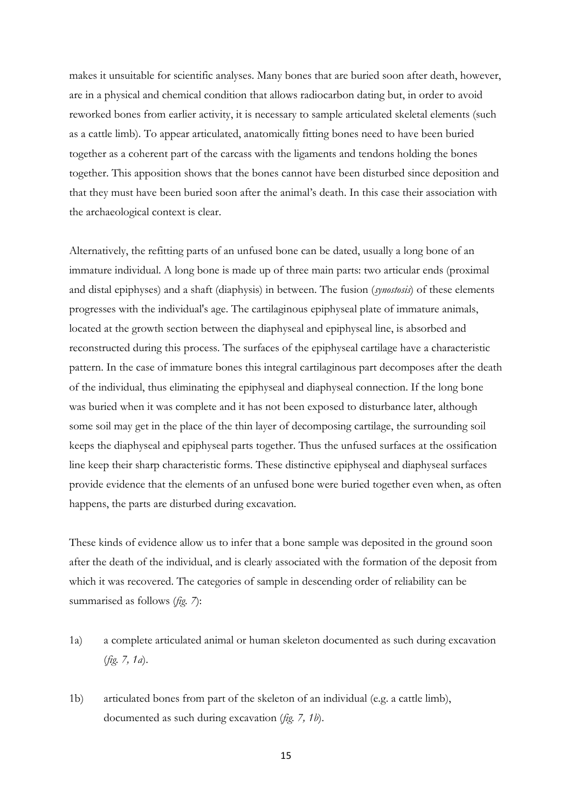makes it unsuitable for scientific analyses. Many bones that are buried soon after death, however, are in a physical and chemical condition that allows radiocarbon dating but, in order to avoid reworked bones from earlier activity, it is necessary to sample articulated skeletal elements (such as a cattle limb). To appear articulated, anatomically fitting bones need to have been buried together as a coherent part of the carcass with the ligaments and tendons holding the bones together. This apposition shows that the bones cannot have been disturbed since deposition and that they must have been buried soon after the animal's death. In this case their association with the archaeological context is clear.

Alternatively, the refitting parts of an unfused bone can be dated, usually a long bone of an immature individual. A long bone is made up of three main parts: two articular ends (proximal and distal epiphyses) and a shaft (diaphysis) in between. The fusion (*synostosis*) of these elements progresses with the individual's age. The cartilaginous epiphyseal plate of immature animals, located at the growth section between the diaphyseal and epiphyseal line, is absorbed and reconstructed during this process. The surfaces of the epiphyseal cartilage have a characteristic pattern. In the case of immature bones this integral cartilaginous part decomposes after the death of the individual, thus eliminating the epiphyseal and diaphyseal connection. If the long bone was buried when it was complete and it has not been exposed to disturbance later, although some soil may get in the place of the thin layer of decomposing cartilage, the surrounding soil keeps the diaphyseal and epiphyseal parts together. Thus the unfused surfaces at the ossification line keep their sharp characteristic forms. These distinctive epiphyseal and diaphyseal surfaces provide evidence that the elements of an unfused bone were buried together even when, as often happens, the parts are disturbed during excavation.

These kinds of evidence allow us to infer that a bone sample was deposited in the ground soon after the death of the individual, and is clearly associated with the formation of the deposit from which it was recovered. The categories of sample in descending order of reliability can be summarised as follows (*fig. 7*):

- 1a) a complete articulated animal or human skeleton documented as such during excavation (*fig. 7, 1a*).
- 1b) articulated bones from part of the skeleton of an individual (e.g. a cattle limb), documented as such during excavation (*fig. 7, 1b*).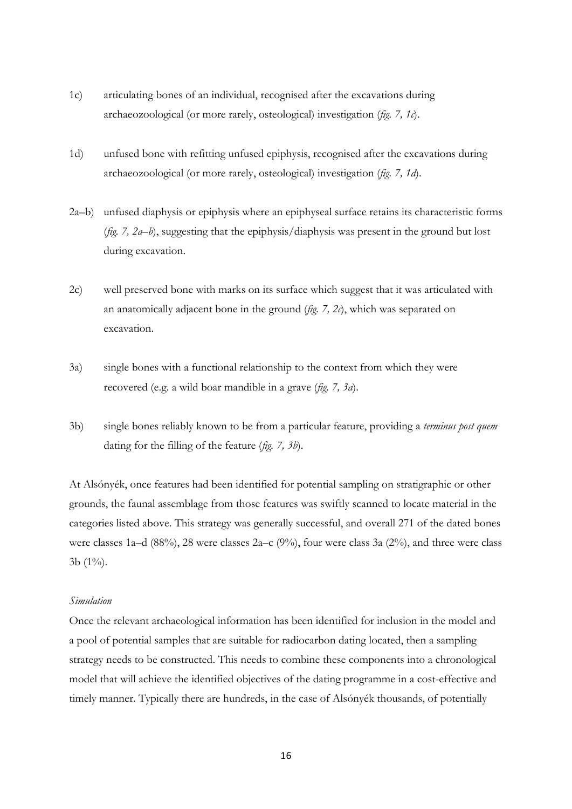- 1c) articulating bones of an individual, recognised after the excavations during archaeozoological (or more rarely, osteological) investigation (*fig. 7, 1c*).
- 1d) unfused bone with refitting unfused epiphysis, recognised after the excavations during archaeozoological (or more rarely, osteological) investigation (*fig. 7, 1d*).
- 2a–b) unfused diaphysis or epiphysis where an epiphyseal surface retains its characteristic forms (*fig. 7, 2a–b*), suggesting that the epiphysis/diaphysis was present in the ground but lost during excavation.
- 2c) well preserved bone with marks on its surface which suggest that it was articulated with an anatomically adjacent bone in the ground (*fig. 7, 2c*), which was separated on excavation.
- 3a) single bones with a functional relationship to the context from which they were recovered (e.g. a wild boar mandible in a grave (*fig. 7, 3a*).
- 3b) single bones reliably known to be from a particular feature, providing a *terminus post quem* dating for the filling of the feature (*fig. 7, 3b*).

At Alsónyék, once features had been identified for potential sampling on stratigraphic or other grounds, the faunal assemblage from those features was swiftly scanned to locate material in the categories listed above. This strategy was generally successful, and overall 271 of the dated bones were classes 1a–d (88%), 28 were classes 2a–c (9%), four were class 3a (2%), and three were class 3b (1%).

#### *Simulation*

Once the relevant archaeological information has been identified for inclusion in the model and a pool of potential samples that are suitable for radiocarbon dating located, then a sampling strategy needs to be constructed. This needs to combine these components into a chronological model that will achieve the identified objectives of the dating programme in a cost-effective and timely manner. Typically there are hundreds, in the case of Alsónyék thousands, of potentially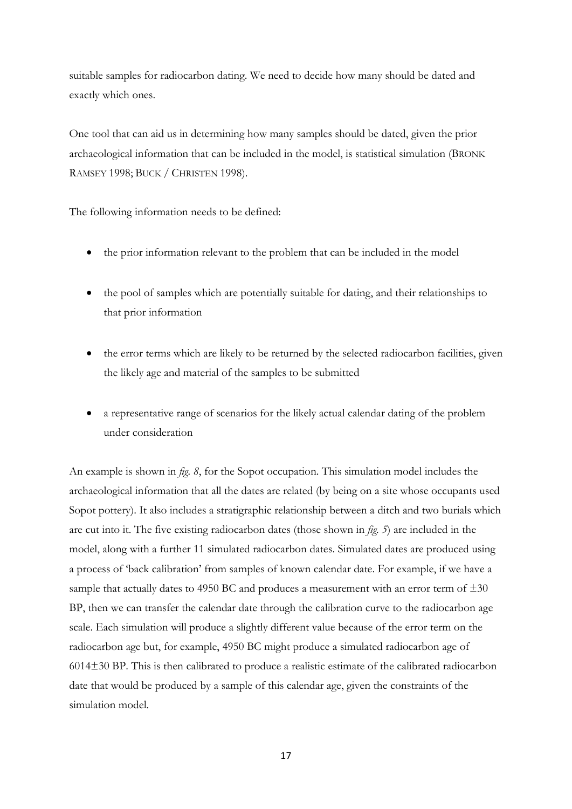suitable samples for radiocarbon dating. We need to decide how many should be dated and exactly which ones.

One tool that can aid us in determining how many samples should be dated, given the prior archaeological information that can be included in the model, is statistical simulation (BRONK RAMSEY 1998; BUCK / CHRISTEN 1998).

The following information needs to be defined:

- the prior information relevant to the problem that can be included in the model
- the pool of samples which are potentially suitable for dating, and their relationships to that prior information
- the error terms which are likely to be returned by the selected radiocarbon facilities, given the likely age and material of the samples to be submitted
- a representative range of scenarios for the likely actual calendar dating of the problem under consideration

An example is shown in *fig. 8*, for the Sopot occupation. This simulation model includes the archaeological information that all the dates are related (by being on a site whose occupants used Sopot pottery). It also includes a stratigraphic relationship between a ditch and two burials which are cut into it. The five existing radiocarbon dates (those shown in *fig. 5*) are included in the model, along with a further 11 simulated radiocarbon dates. Simulated dates are produced using a process of 'back calibration' from samples of known calendar date. For example, if we have a sample that actually dates to 4950 BC and produces a measurement with an error term of  $\pm 30$ BP, then we can transfer the calendar date through the calibration curve to the radiocarbon age scale. Each simulation will produce a slightly different value because of the error term on the radiocarbon age but, for example, 4950 BC might produce a simulated radiocarbon age of 6014±30 BP. This is then calibrated to produce a realistic estimate of the calibrated radiocarbon date that would be produced by a sample of this calendar age, given the constraints of the simulation model.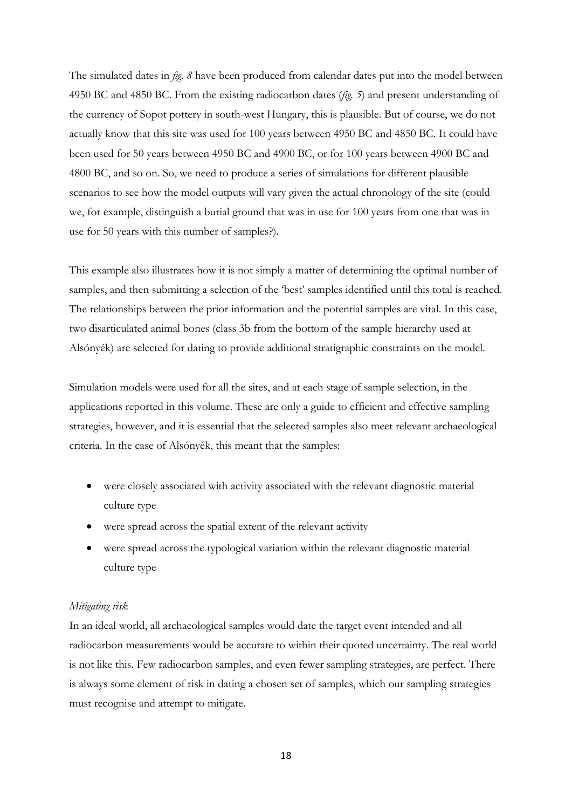The simulated dates in *fig. 8* have been produced from calendar dates put into the model between 4950 BC and 4850 BC. From the existing radiocarbon dates (*fig. 5*) and present understanding of the currency of Sopot pottery in south-west Hungary, this is plausible. But of course, we do not actually know that this site was used for 100 years between 4950 BC and 4850 BC. It could have been used for 50 years between 4950 BC and 4900 BC, or for 100 years between 4900 BC and 4800 BC, and so on. So, we need to produce a series of simulations for different plausible scenarios to see how the model outputs will vary given the actual chronology of the site (could we, for example, distinguish a burial ground that was in use for 100 years from one that was in use for 50 years with this number of samples?).

This example also illustrates how it is not simply a matter of determining the optimal number of samples, and then submitting a selection of the 'best' samples identified until this total is reached. The relationships between the prior information and the potential samples are vital. In this case, two disarticulated animal bones (class 3b from the bottom of the sample hierarchy used at Alsónyék) are selected for dating to provide additional stratigraphic constraints on the model.

Simulation models were used for all the sites, and at each stage of sample selection, in the applications reported in this volume. These are only a guide to efficient and effective sampling strategies, however, and it is essential that the selected samples also meet relevant archaeological criteria. In the case of Alsónyék, this meant that the samples:

- were closely associated with activity associated with the relevant diagnostic material culture type
- were spread across the spatial extent of the relevant activity
- were spread across the typological variation within the relevant diagnostic material culture type

## *Mitigating risk*

In an ideal world, all archaeological samples would date the target event intended and all radiocarbon measurements would be accurate to within their quoted uncertainty. The real world is not like this. Few radiocarbon samples, and even fewer sampling strategies, are perfect. There is always some element of risk in dating a chosen set of samples, which our sampling strategies must recognise and attempt to mitigate.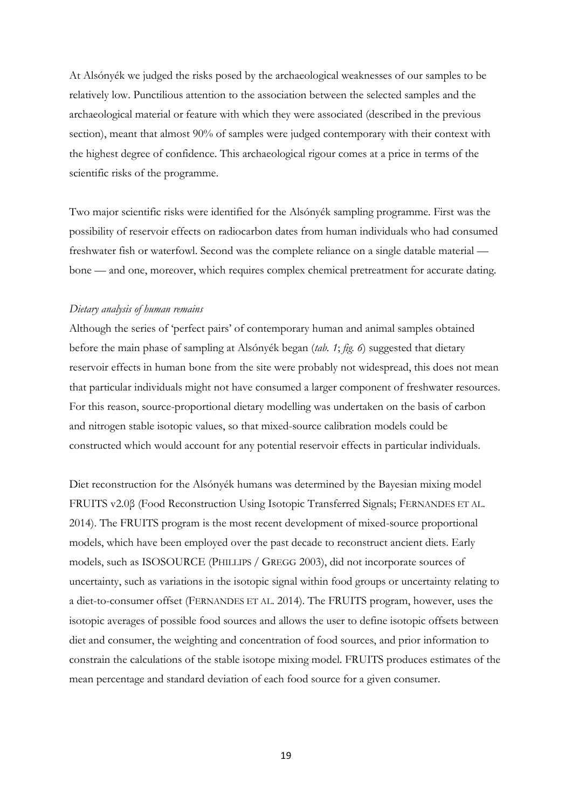At Alsónyék we judged the risks posed by the archaeological weaknesses of our samples to be relatively low. Punctilious attention to the association between the selected samples and the archaeological material or feature with which they were associated (described in the previous section), meant that almost 90% of samples were judged contemporary with their context with the highest degree of confidence. This archaeological rigour comes at a price in terms of the scientific risks of the programme.

Two major scientific risks were identified for the Alsónyék sampling programme. First was the possibility of reservoir effects on radiocarbon dates from human individuals who had consumed freshwater fish or waterfowl. Second was the complete reliance on a single datable material bone — and one, moreover, which requires complex chemical pretreatment for accurate dating.

#### *Dietary analysis of human remains*

Although the series of 'perfect pairs' of contemporary human and animal samples obtained before the main phase of sampling at Alsónyék began (*tab. 1*; *fig. 6*) suggested that dietary reservoir effects in human bone from the site were probably not widespread, this does not mean that particular individuals might not have consumed a larger component of freshwater resources. For this reason, source-proportional dietary modelling was undertaken on the basis of carbon and nitrogen stable isotopic values, so that mixed-source calibration models could be constructed which would account for any potential reservoir effects in particular individuals.

Diet reconstruction for the Alsónyék humans was determined by the Bayesian mixing model FRUITS v2.0β (Food Reconstruction Using Isotopic Transferred Signals; FERNANDES ET AL. 2014). The FRUITS program is the most recent development of mixed-source proportional models, which have been employed over the past decade to reconstruct ancient diets. Early models, such as ISOSOURCE (PHILLIPS / GREGG 2003), did not incorporate sources of uncertainty, such as variations in the isotopic signal within food groups or uncertainty relating to a diet-to-consumer offset (FERNANDES ET AL. 2014). The FRUITS program, however, uses the isotopic averages of possible food sources and allows the user to define isotopic offsets between diet and consumer, the weighting and concentration of food sources, and prior information to constrain the calculations of the stable isotope mixing model. FRUITS produces estimates of the mean percentage and standard deviation of each food source for a given consumer.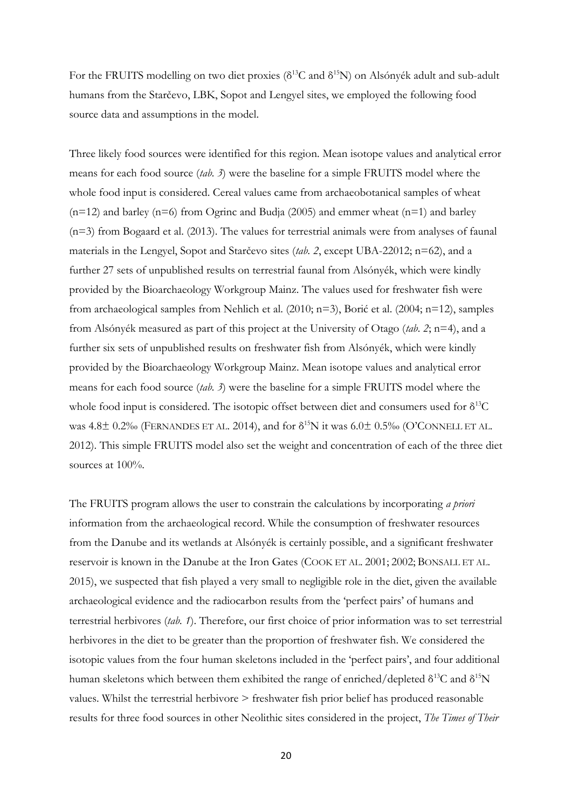For the FRUITS modelling on two diet proxies ( $\delta^{13}$ C and  $\delta^{15}$ N) on Alsónyék adult and sub-adult humans from the Starčevo, LBK, Sopot and Lengyel sites, we employed the following food source data and assumptions in the model.

Three likely food sources were identified for this region. Mean isotope values and analytical error means for each food source (*tab. 3*) were the baseline for a simple FRUITS model where the whole food input is considered. Cereal values came from archaeobotanical samples of wheat  $(n=12)$  and barley (n=6) from Ogrinc and Budja (2005) and emmer wheat (n=1) and barley (n=3) from Bogaard et al. (2013). The values for terrestrial animals were from analyses of faunal materials in the Lengyel, Sopot and Starčevo sites (*tab. 2*, except UBA-22012; n=62), and a further 27 sets of unpublished results on terrestrial faunal from Alsónyék, which were kindly provided by the Bioarchaeology Workgroup Mainz. The values used for freshwater fish were from archaeological samples from Nehlich et al. (2010; n=3), Borić et al. (2004; n=12), samples from Alsónyék measured as part of this project at the University of Otago (*tab*. *2*; n=4), and a further six sets of unpublished results on freshwater fish from Alsónyék, which were kindly provided by the Bioarchaeology Workgroup Mainz. Mean isotope values and analytical error means for each food source (*tab. 3*) were the baseline for a simple FRUITS model where the whole food input is considered. The isotopic offset between diet and consumers used for δ<sup>13</sup>C was  $4.8\pm$  0.2‰ (FERNANDES ET AL. 2014), and for  $\delta^{15}N$  it was  $6.0\pm$  0.5‰ (O'CONNELL ET AL. 2012). This simple FRUITS model also set the weight and concentration of each of the three diet sources at  $100\%$ .

The FRUITS program allows the user to constrain the calculations by incorporating *a priori* information from the archaeological record. While the consumption of freshwater resources from the Danube and its wetlands at Alsónyék is certainly possible, and a significant freshwater reservoir is known in the Danube at the Iron Gates (COOK ET AL. 2001; 2002; BONSALL ET AL. 2015), we suspected that fish played a very small to negligible role in the diet, given the available archaeological evidence and the radiocarbon results from the 'perfect pairs' of humans and terrestrial herbivores (*tab. 1*). Therefore, our first choice of prior information was to set terrestrial herbivores in the diet to be greater than the proportion of freshwater fish. We considered the isotopic values from the four human skeletons included in the 'perfect pairs', and four additional human skeletons which between them exhibited the range of enriched/depleted  $\delta^{13}C$  and  $\delta^{15}N$ values. Whilst the terrestrial herbivore > freshwater fish prior belief has produced reasonable results for three food sources in other Neolithic sites considered in the project, *The Times of Their*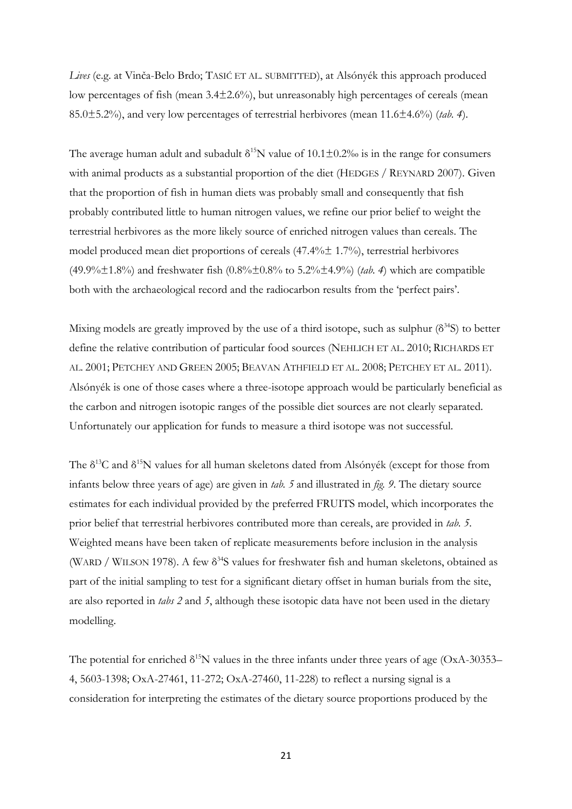*Lives* (e.g. at Vinča-Belo Brdo; TASIĆ ET AL. SUBMITTED), at Alsónyék this approach produced low percentages of fish (mean 3.4±2.6%), but unreasonably high percentages of cereals (mean 85.0±5.2%), and very low percentages of terrestrial herbivores (mean 11.6±4.6%) (*tab. 4*).

The average human adult and subadult  $\delta^{15}N$  value of  $10.1\pm0.2\%$  is in the range for consumers with animal products as a substantial proportion of the diet (HEDGES / REYNARD 2007). Given that the proportion of fish in human diets was probably small and consequently that fish probably contributed little to human nitrogen values, we refine our prior belief to weight the terrestrial herbivores as the more likely source of enriched nitrogen values than cereals. The model produced mean diet proportions of cereals (47.4%± 1.7%), terrestrial herbivores (49.9%±1.8%) and freshwater fish (0.8%±0.8% to 5.2%±4.9%) (*tab. 4*) which are compatible both with the archaeological record and the radiocarbon results from the 'perfect pairs'.

Mixing models are greatly improved by the use of a third isotope, such as sulphur  $(\delta^{34}S)$  to better define the relative contribution of particular food sources (NEHLICH ET AL. 2010; RICHARDS ET AL. 2001; PETCHEY AND GREEN 2005; BEAVAN ATHFIELD ET AL. 2008; PETCHEY ET AL. 2011). Alsónyék is one of those cases where a three-isotope approach would be particularly beneficial as the carbon and nitrogen isotopic ranges of the possible diet sources are not clearly separated. Unfortunately our application for funds to measure a third isotope was not successful.

The  $\delta^{13}$ C and  $\delta^{15}$ N values for all human skeletons dated from Alsónyék (except for those from infants below three years of age) are given in *tab. 5* and illustrated in *fig. 9*. The dietary source estimates for each individual provided by the preferred FRUITS model, which incorporates the prior belief that terrestrial herbivores contributed more than cereals, are provided in *tab. 5*. Weighted means have been taken of replicate measurements before inclusion in the analysis (WARD / WILSON 1978). A few  $\delta^{34}S$  values for freshwater fish and human skeletons, obtained as part of the initial sampling to test for a significant dietary offset in human burials from the site, are also reported in *tabs 2* and *5*, although these isotopic data have not been used in the dietary modelling.

The potential for enriched  $\delta^{15}N$  values in the three infants under three years of age (OxA-30353– 4, 5603-1398; OxA-27461, 11-272; OxA-27460, 11-228) to reflect a nursing signal is a consideration for interpreting the estimates of the dietary source proportions produced by the

21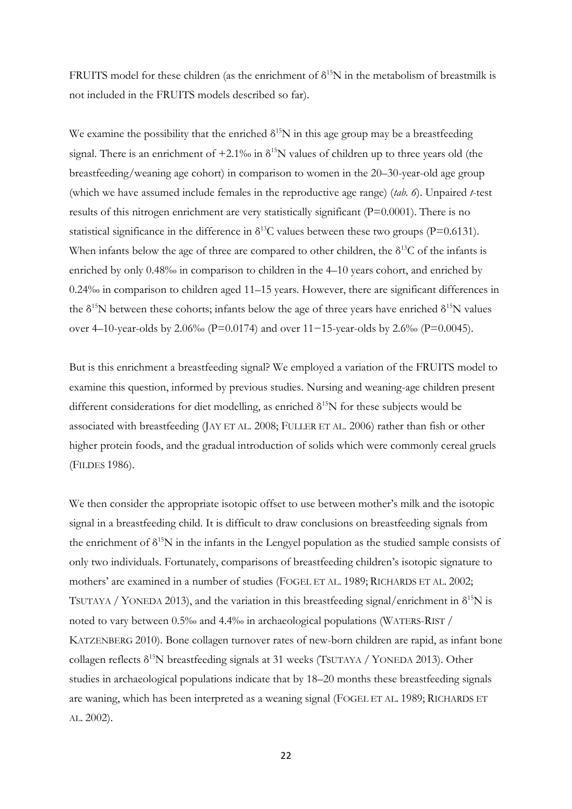FRUITS model for these children (as the enrichment of  $\delta^{15}N$  in the metabolism of breastmilk is not included in the FRUITS models described so far).

We examine the possibility that the enriched  $\delta^{15}N$  in this age group may be a breastfeeding signal. There is an enrichment of  $+2.1\%$  in  $\delta^{15}N$  values of children up to three years old (the breastfeeding/weaning age cohort) in comparison to women in the 20–30-year-old age group (which we have assumed include females in the reproductive age range) (*tab. 6*). Unpaired *t*-test results of this nitrogen enrichment are very statistically significant (P=0.0001). There is no statistical significance in the difference in  $\delta^{13}$ C values between these two groups (P=0.6131). When infants below the age of three are compared to other children, the  $\delta^{13}C$  of the infants is enriched by only  $0.48\%$  in comparison to children in the  $4-10$  years cohort, and enriched by  $0.24\%$  in comparison to children aged 11–15 years. However, there are significant differences in the  $\delta^{15}N$  between these cohorts; infants below the age of three years have enriched  $\delta^{15}N$  values over 4–10-year-olds by 2.06‰ (P=0.0174) and over 11−15-year-olds by 2.6‰ (P=0.0045).

But is this enrichment a breastfeeding signal? We employed a variation of the FRUITS model to examine this question, informed by previous studies. Nursing and weaning-age children present different considerations for diet modelling, as enriched  $\delta^{15}N$  for these subjects would be associated with breastfeeding (JAY ET AL. 2008; FULLER ET AL. 2006) rather than fish or other higher protein foods, and the gradual introduction of solids which were commonly cereal gruels (FILDES 1986).

We then consider the appropriate isotopic offset to use between mother's milk and the isotopic signal in a breastfeeding child. It is difficult to draw conclusions on breastfeeding signals from the enrichment of  $\delta^{15}N$  in the infants in the Lengyel population as the studied sample consists of only two individuals. Fortunately, comparisons of breastfeeding children's isotopic signature to mothers' are examined in a number of studies (FOGEL ET AL. 1989; RICHARDS ET AL. 2002; TSUTAYA / YONEDA 2013), and the variation in this breastfeeding signal/enrichment in  $\delta^{15}N$  is noted to vary between 0.5‰ and 4.4‰ in archaeological populations (WATERS-RIST / KATZENBERG 2010). Bone collagen turnover rates of new-born children are rapid, as infant bone collagen reflects  $\delta^{15}N$  breastfeeding signals at 31 weeks (TSUTAYA / YONEDA 2013). Other studies in archaeological populations indicate that by 18–20 months these breastfeeding signals are waning, which has been interpreted as a weaning signal (FOGEL ET AL. 1989; RICHARDS ET AL. 2002).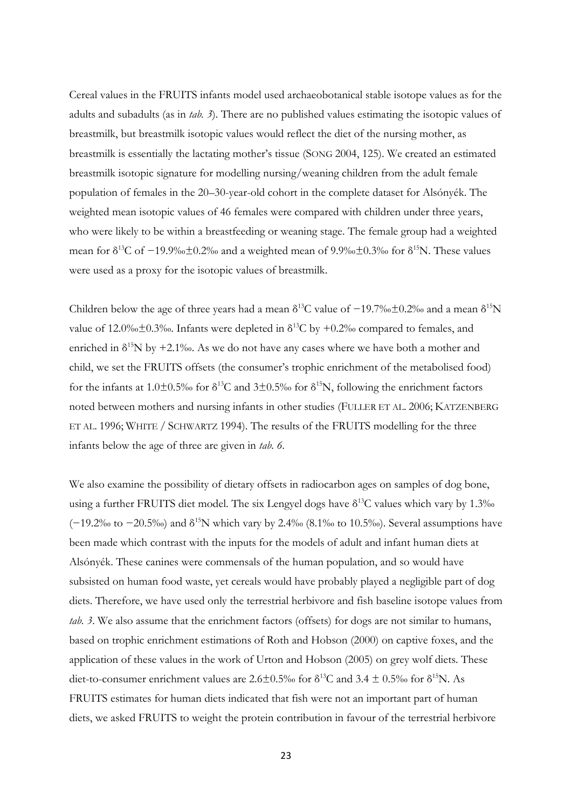Cereal values in the FRUITS infants model used archaeobotanical stable isotope values as for the adults and subadults (as in *tab. 3*). There are no published values estimating the isotopic values of breastmilk, but breastmilk isotopic values would reflect the diet of the nursing mother, as breastmilk is essentially the lactating mother's tissue (SONG 2004, 125). We created an estimated breastmilk isotopic signature for modelling nursing/weaning children from the adult female population of females in the 20–30-year-old cohort in the complete dataset for Alsónyék. The weighted mean isotopic values of 46 females were compared with children under three years, who were likely to be within a breastfeeding or weaning stage. The female group had a weighted mean for  $\delta^{13}$ C of -19.9‰ $\pm$ 0.2‰ and a weighted mean of 9.9‰ $\pm$ 0.3‰ for  $\delta^{15}$ N. These values were used as a proxy for the isotopic values of breastmilk.

Children below the age of three years had a mean  $\delta^{13}$ C value of -19.7‰±0.2‰ and a mean  $\delta^{15}N$ value of 12.0‰±0.3‰. Infants were depleted in  $\delta^{13}C$  by +0.2‰ compared to females, and enriched in  $\delta^{15}N$  by +2.1‰. As we do not have any cases where we have both a mother and child, we set the FRUITS offsets (the consumer's trophic enrichment of the metabolised food) for the infants at 1.0±0.5‰ for  $\delta^{13}C$  and  $3\pm0.5%$  for  $\delta^{15}N$ , following the enrichment factors noted between mothers and nursing infants in other studies (FULLER ET AL. 2006; KATZENBERG ET AL. 1996; WHITE / SCHWARTZ 1994). The results of the FRUITS modelling for the three infants below the age of three are given in *tab. 6*.

We also examine the possibility of dietary offsets in radiocarbon ages on samples of dog bone, using a further FRUITS diet model. The six Lengyel dogs have  $\delta^{13}C$  values which vary by 1.3‰  $(-19.2\%$  to  $-20.5\%$ ) and  $\delta^{15}N$  which vary by 2.4‰ (8.1‰ to 10.5‰). Several assumptions have been made which contrast with the inputs for the models of adult and infant human diets at Alsónyék. These canines were commensals of the human population, and so would have subsisted on human food waste, yet cereals would have probably played a negligible part of dog diets. Therefore, we have used only the terrestrial herbivore and fish baseline isotope values from *tab. 3*. We also assume that the enrichment factors (offsets) for dogs are not similar to humans, based on trophic enrichment estimations of Roth and Hobson (2000) on captive foxes, and the application of these values in the work of Urton and Hobson (2005) on grey wolf diets. These diet-to-consumer enrichment values are  $2.6\pm0.5\%$  for  $\delta^{13}$ C and  $3.4\pm0.5\%$  for  $\delta^{15}$ N. As FRUITS estimates for human diets indicated that fish were not an important part of human diets, we asked FRUITS to weight the protein contribution in favour of the terrestrial herbivore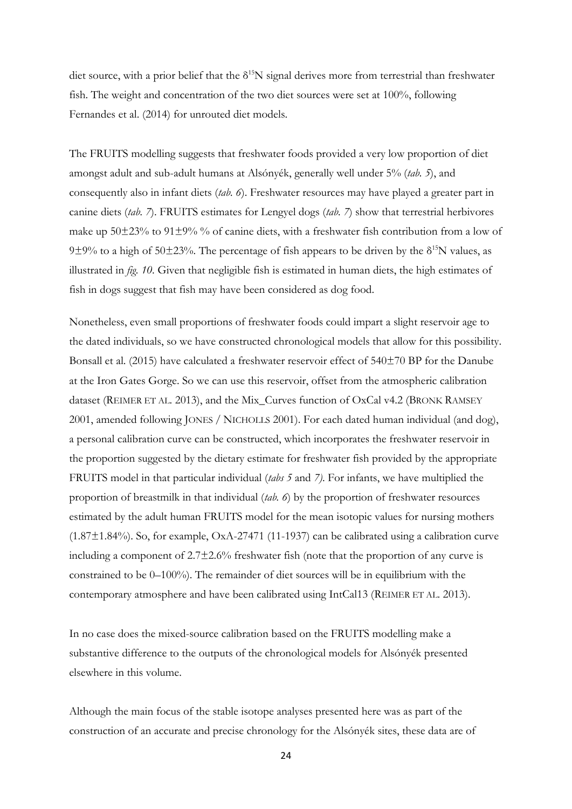diet source, with a prior belief that the  $\delta^{15}N$  signal derives more from terrestrial than freshwater fish. The weight and concentration of the two diet sources were set at 100%, following Fernandes et al. (2014) for unrouted diet models.

The FRUITS modelling suggests that freshwater foods provided a very low proportion of diet amongst adult and sub-adult humans at Alsónyék, generally well under 5% (*tab. 5*), and consequently also in infant diets (*tab. 6*). Freshwater resources may have played a greater part in canine diets (*tab. 7*). FRUITS estimates for Lengyel dogs (*tab. 7*) show that terrestrial herbivores make up  $50\pm23\%$  to  $91\pm9\%$  % of canine diets, with a freshwater fish contribution from a low of 9 $\pm$ 9% to a high of 50 $\pm$ 23%. The percentage of fish appears to be driven by the  $\delta^{15}N$  values, as illustrated in *fig. 10*. Given that negligible fish is estimated in human diets, the high estimates of fish in dogs suggest that fish may have been considered as dog food.

Nonetheless, even small proportions of freshwater foods could impart a slight reservoir age to the dated individuals, so we have constructed chronological models that allow for this possibility. Bonsall et al. (2015) have calculated a freshwater reservoir effect of 540±70 BP for the Danube at the Iron Gates Gorge. So we can use this reservoir, offset from the atmospheric calibration dataset (REIMER ET AL. 2013), and the Mix\_Curves function of OxCal v4.2 (BRONK RAMSEY 2001, amended following JONES / NICHOLLS 2001). For each dated human individual (and dog), a personal calibration curve can be constructed, which incorporates the freshwater reservoir in the proportion suggested by the dietary estimate for freshwater fish provided by the appropriate FRUITS model in that particular individual (*tabs 5* and *7)*. For infants, we have multiplied the proportion of breastmilk in that individual (*tab. 6*) by the proportion of freshwater resources estimated by the adult human FRUITS model for the mean isotopic values for nursing mothers  $(1.87\pm1.84\%)$ . So, for example, OxA-27471 (11-1937) can be calibrated using a calibration curve including a component of 2.7±2.6% freshwater fish (note that the proportion of any curve is constrained to be 0–100%). The remainder of diet sources will be in equilibrium with the contemporary atmosphere and have been calibrated using IntCal13 (REIMER ET AL. 2013).

In no case does the mixed-source calibration based on the FRUITS modelling make a substantive difference to the outputs of the chronological models for Alsónyék presented elsewhere in this volume.

Although the main focus of the stable isotope analyses presented here was as part of the construction of an accurate and precise chronology for the Alsónyék sites, these data are of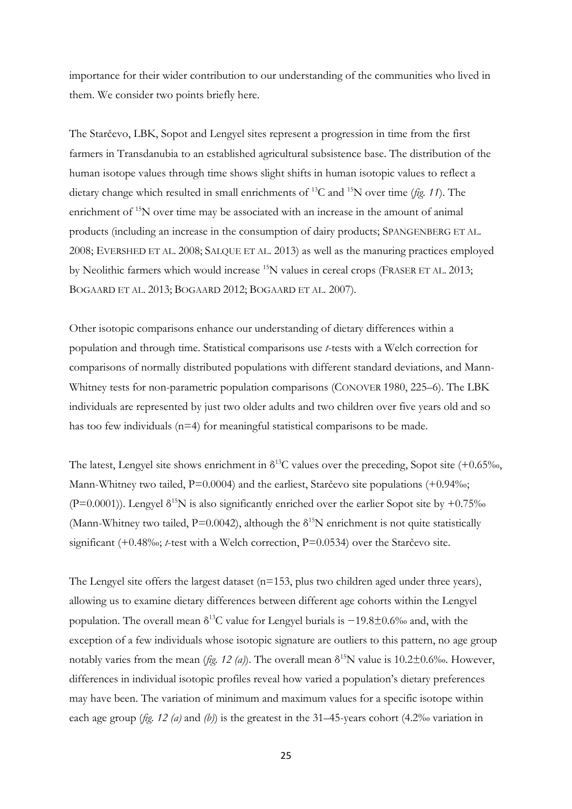importance for their wider contribution to our understanding of the communities who lived in them. We consider two points briefly here.

The Starčevo, LBK, Sopot and Lengyel sites represent a progression in time from the first farmers in Transdanubia to an established agricultural subsistence base. The distribution of the human isotope values through time shows slight shifts in human isotopic values to reflect a dietary change which resulted in small enrichments of <sup>13</sup>C and <sup>15</sup>N over time (*fig. 11*). The enrichment of <sup>15</sup>N over time may be associated with an increase in the amount of animal products (including an increase in the consumption of dairy products; SPANGENBERG ET AL. 2008; EVERSHED ET AL. 2008; SALQUE ET AL. 2013) as well as the manuring practices employed by Neolithic farmers which would increase <sup>15</sup>N values in cereal crops (FRASER ET AL. 2013; BOGAARD ET AL. 2013; BOGAARD 2012; BOGAARD ET AL. 2007).

Other isotopic comparisons enhance our understanding of dietary differences within a population and through time. Statistical comparisons use *t*-tests with a Welch correction for comparisons of normally distributed populations with different standard deviations, and Mann-Whitney tests for non-parametric population comparisons (CONOVER 1980, 225–6). The LBK individuals are represented by just two older adults and two children over five years old and so has too few individuals (n=4) for meaningful statistical comparisons to be made.

The latest, Lengyel site shows enrichment in  $\delta^{13}$ C values over the preceding, Sopot site (+0.65‰, Mann-Whitney two tailed,  $P=0.0004$ ) and the earliest, Starčevo site populations (+0.94‰; (P=0.0001)). Lengyel  $\delta^{15}N$  is also significantly enriched over the earlier Sopot site by +0.75% (Mann-Whitney two tailed,  $P=0.0042$ ), although the  $\delta^{15}N$  enrichment is not quite statistically significant (+0.48‰; *t*-test with a Welch correction, P=0.0534) over the Starčevo site.

The Lengyel site offers the largest dataset (n=153, plus two children aged under three years), allowing us to examine dietary differences between different age cohorts within the Lengyel population. The overall mean  $\delta^{13}C$  value for Lengyel burials is  $-19.8\pm0.6\%$  and, with the exception of a few individuals whose isotopic signature are outliers to this pattern, no age group notably varies from the mean (*fig. 12 (a)*). The overall mean  $\delta^{15}N$  value is 10.2±0.6‰. However, differences in individual isotopic profiles reveal how varied a population's dietary preferences may have been. The variation of minimum and maximum values for a specific isotope within each age group ( $fig. 12$  (a) and (b)) is the greatest in the 31–45-years cohort (4.2‰ variation in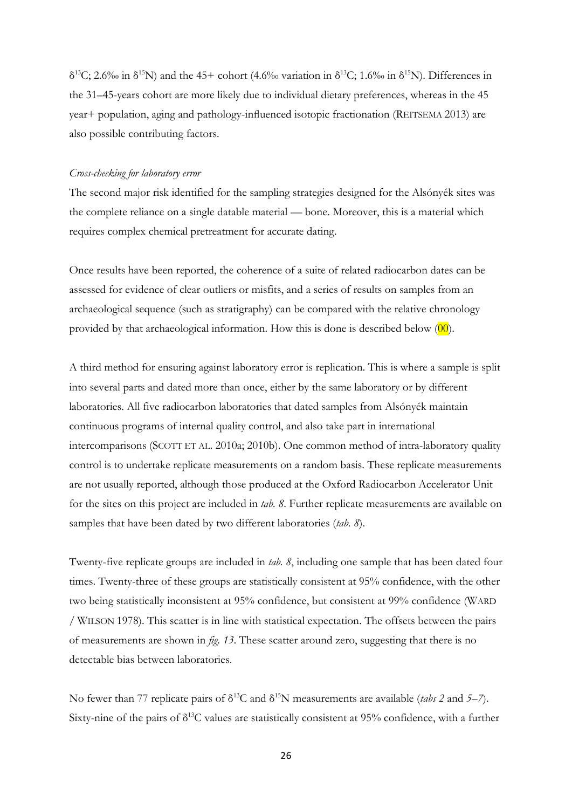$\delta^{13}$ C; 2.6‰ in  $\delta^{15}$ N) and the 45+ cohort (4.6‰ variation in  $\delta^{13}$ C; 1.6‰ in  $\delta^{15}$ N). Differences in the 31–45-years cohort are more likely due to individual dietary preferences, whereas in the 45 year+ population, aging and pathology-influenced isotopic fractionation (REITSEMA 2013) are also possible contributing factors.

## *Cross-checking for laboratory error*

The second major risk identified for the sampling strategies designed for the Alsónyék sites was the complete reliance on a single datable material — bone. Moreover, this is a material which requires complex chemical pretreatment for accurate dating.

Once results have been reported, the coherence of a suite of related radiocarbon dates can be assessed for evidence of clear outliers or misfits, and a series of results on samples from an archaeological sequence (such as stratigraphy) can be compared with the relative chronology provided by that archaeological information. How this is done is described below  $(00)$ .

A third method for ensuring against laboratory error is replication. This is where a sample is split into several parts and dated more than once, either by the same laboratory or by different laboratories. All five radiocarbon laboratories that dated samples from Alsónyék maintain continuous programs of internal quality control, and also take part in international intercomparisons (SCOTT ET AL. 2010a; 2010b). One common method of intra-laboratory quality control is to undertake replicate measurements on a random basis. These replicate measurements are not usually reported, although those produced at the Oxford Radiocarbon Accelerator Unit for the sites on this project are included in *tab. 8*. Further replicate measurements are available on samples that have been dated by two different laboratories (*tab. 8*).

Twenty-five replicate groups are included in *tab. 8*, including one sample that has been dated four times. Twenty-three of these groups are statistically consistent at 95% confidence, with the other two being statistically inconsistent at 95% confidence, but consistent at 99% confidence (WARD / WILSON 1978). This scatter is in line with statistical expectation. The offsets between the pairs of measurements are shown in *fig. 13*. These scatter around zero, suggesting that there is no detectable bias between laboratories.

No fewer than 77 replicate pairs of  $\delta^{13}C$  and  $\delta^{15}N$  measurements are available (*tabs 2* and 5–7). Sixty-nine of the pairs of  $\delta^{13}$ C values are statistically consistent at 95% confidence, with a further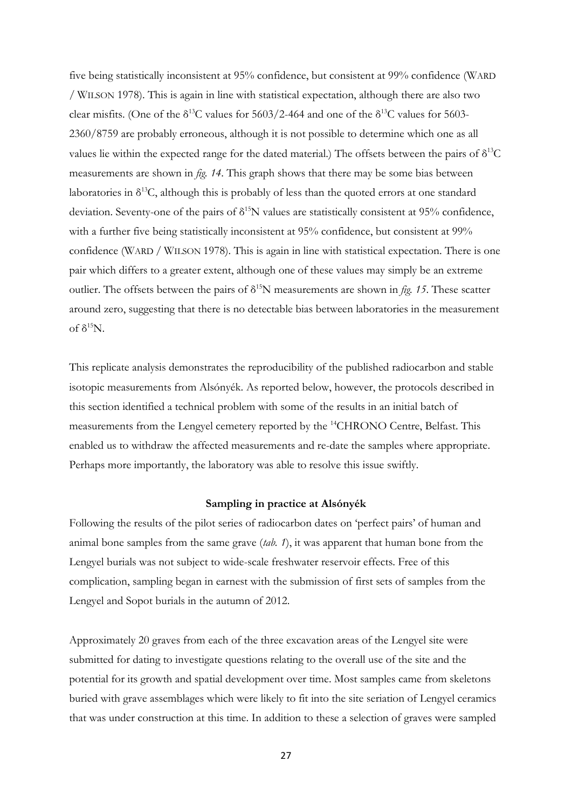five being statistically inconsistent at 95% confidence, but consistent at 99% confidence (WARD / WILSON 1978). This is again in line with statistical expectation, although there are also two clear misfits. (One of the  $\delta^{13}$ C values for 5603/2-464 and one of the  $\delta^{13}$ C values for 5603-2360/8759 are probably erroneous, although it is not possible to determine which one as all values lie within the expected range for the dated material.) The offsets between the pairs of  $\delta^{13}C$ measurements are shown in *fig. 14*. This graph shows that there may be some bias between laboratories in  $\delta^{13}C$ , although this is probably of less than the quoted errors at one standard deviation. Seventy-one of the pairs of  $\delta^{15}N$  values are statistically consistent at 95% confidence, with a further five being statistically inconsistent at 95% confidence, but consistent at 99% confidence (WARD / WILSON 1978). This is again in line with statistical expectation. There is one pair which differs to a greater extent, although one of these values may simply be an extreme outlier. The offsets between the pairs of  $\delta^{15}N$  measurements are shown in *fig.* 15. These scatter around zero, suggesting that there is no detectable bias between laboratories in the measurement of δ<sup>15</sup>N.

This replicate analysis demonstrates the reproducibility of the published radiocarbon and stable isotopic measurements from Alsónyék. As reported below, however, the protocols described in this section identified a technical problem with some of the results in an initial batch of measurements from the Lengyel cemetery reported by the <sup>14</sup>CHRONO Centre, Belfast. This enabled us to withdraw the affected measurements and re-date the samples where appropriate. Perhaps more importantly, the laboratory was able to resolve this issue swiftly.

#### **Sampling in practice at Alsónyék**

Following the results of the pilot series of radiocarbon dates on 'perfect pairs' of human and animal bone samples from the same grave (*tab. 1*), it was apparent that human bone from the Lengyel burials was not subject to wide-scale freshwater reservoir effects. Free of this complication, sampling began in earnest with the submission of first sets of samples from the Lengyel and Sopot burials in the autumn of 2012.

Approximately 20 graves from each of the three excavation areas of the Lengyel site were submitted for dating to investigate questions relating to the overall use of the site and the potential for its growth and spatial development over time. Most samples came from skeletons buried with grave assemblages which were likely to fit into the site seriation of Lengyel ceramics that was under construction at this time. In addition to these a selection of graves were sampled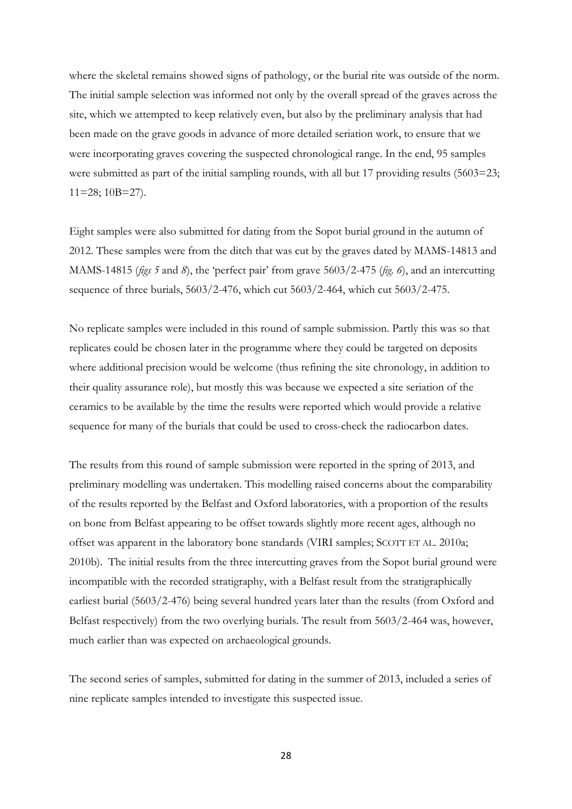where the skeletal remains showed signs of pathology, or the burial rite was outside of the norm. The initial sample selection was informed not only by the overall spread of the graves across the site, which we attempted to keep relatively even, but also by the preliminary analysis that had been made on the grave goods in advance of more detailed seriation work, to ensure that we were incorporating graves covering the suspected chronological range. In the end, 95 samples were submitted as part of the initial sampling rounds, with all but 17 providing results (5603=23; 11=28; 10B=27).

Eight samples were also submitted for dating from the Sopot burial ground in the autumn of 2012. These samples were from the ditch that was cut by the graves dated by MAMS-14813 and MAMS-14815 (*figs 5* and *8*), the 'perfect pair' from grave 5603/2-475 (*fig. 6*), and an intercutting sequence of three burials, 5603/2-476, which cut 5603/2-464, which cut 5603/2-475.

No replicate samples were included in this round of sample submission. Partly this was so that replicates could be chosen later in the programme where they could be targeted on deposits where additional precision would be welcome (thus refining the site chronology, in addition to their quality assurance role), but mostly this was because we expected a site seriation of the ceramics to be available by the time the results were reported which would provide a relative sequence for many of the burials that could be used to cross-check the radiocarbon dates.

The results from this round of sample submission were reported in the spring of 2013, and preliminary modelling was undertaken. This modelling raised concerns about the comparability of the results reported by the Belfast and Oxford laboratories, with a proportion of the results on bone from Belfast appearing to be offset towards slightly more recent ages, although no offset was apparent in the laboratory bone standards (VIRI samples; SCOTT ET AL. 2010a; 2010b). The initial results from the three intercutting graves from the Sopot burial ground were incompatible with the recorded stratigraphy, with a Belfast result from the stratigraphically earliest burial (5603/2-476) being several hundred years later than the results (from Oxford and Belfast respectively) from the two overlying burials. The result from 5603/2-464 was, however, much earlier than was expected on archaeological grounds.

The second series of samples, submitted for dating in the summer of 2013, included a series of nine replicate samples intended to investigate this suspected issue.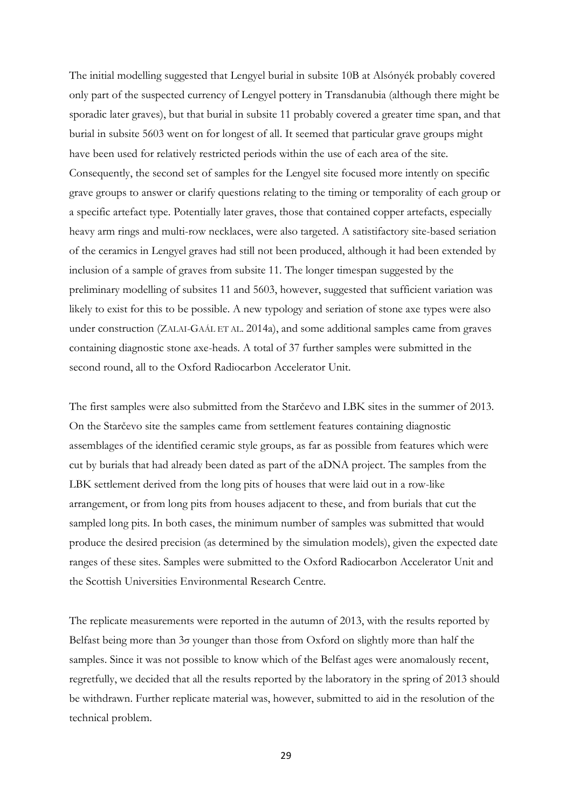The initial modelling suggested that Lengyel burial in subsite 10B at Alsónyék probably covered only part of the suspected currency of Lengyel pottery in Transdanubia (although there might be sporadic later graves), but that burial in subsite 11 probably covered a greater time span, and that burial in subsite 5603 went on for longest of all. It seemed that particular grave groups might have been used for relatively restricted periods within the use of each area of the site. Consequently, the second set of samples for the Lengyel site focused more intently on specific grave groups to answer or clarify questions relating to the timing or temporality of each group or a specific artefact type. Potentially later graves, those that contained copper artefacts, especially heavy arm rings and multi-row necklaces, were also targeted. A satistifactory site-based seriation of the ceramics in Lengyel graves had still not been produced, although it had been extended by inclusion of a sample of graves from subsite 11. The longer timespan suggested by the preliminary modelling of subsites 11 and 5603, however, suggested that sufficient variation was likely to exist for this to be possible. A new typology and seriation of stone axe types were also under construction (ZALAI-GAÁL ET AL. 2014a), and some additional samples came from graves containing diagnostic stone axe-heads. A total of 37 further samples were submitted in the second round, all to the Oxford Radiocarbon Accelerator Unit.

The first samples were also submitted from the Starčevo and LBK sites in the summer of 2013. On the Starčevo site the samples came from settlement features containing diagnostic assemblages of the identified ceramic style groups, as far as possible from features which were cut by burials that had already been dated as part of the aDNA project. The samples from the LBK settlement derived from the long pits of houses that were laid out in a row-like arrangement, or from long pits from houses adjacent to these, and from burials that cut the sampled long pits. In both cases, the minimum number of samples was submitted that would produce the desired precision (as determined by the simulation models), given the expected date ranges of these sites. Samples were submitted to the Oxford Radiocarbon Accelerator Unit and the Scottish Universities Environmental Research Centre.

The replicate measurements were reported in the autumn of 2013, with the results reported by Belfast being more than 3σ younger than those from Oxford on slightly more than half the samples. Since it was not possible to know which of the Belfast ages were anomalously recent, regretfully, we decided that all the results reported by the laboratory in the spring of 2013 should be withdrawn. Further replicate material was, however, submitted to aid in the resolution of the technical problem.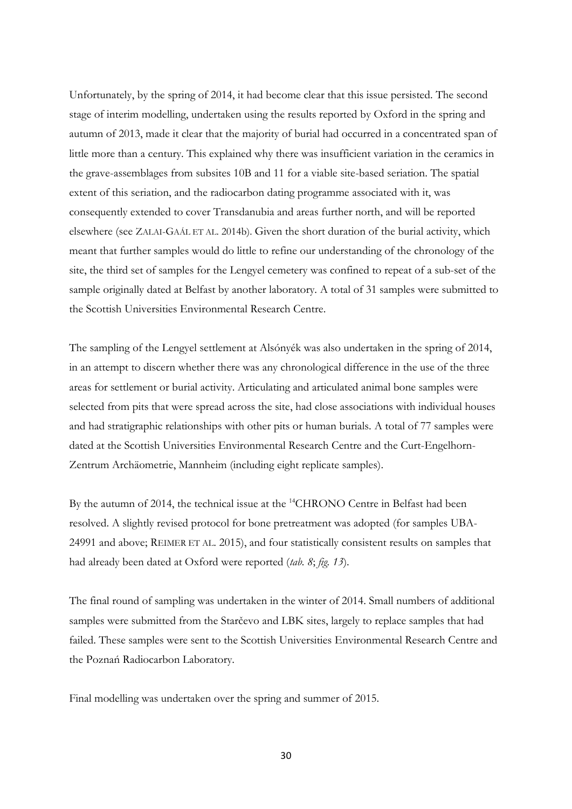Unfortunately, by the spring of 2014, it had become clear that this issue persisted. The second stage of interim modelling, undertaken using the results reported by Oxford in the spring and autumn of 2013, made it clear that the majority of burial had occurred in a concentrated span of little more than a century. This explained why there was insufficient variation in the ceramics in the grave-assemblages from subsites 10B and 11 for a viable site-based seriation. The spatial extent of this seriation, and the radiocarbon dating programme associated with it, was consequently extended to cover Transdanubia and areas further north, and will be reported elsewhere (see ZALAI-GAÁL ET AL. 2014b). Given the short duration of the burial activity, which meant that further samples would do little to refine our understanding of the chronology of the site, the third set of samples for the Lengyel cemetery was confined to repeat of a sub-set of the sample originally dated at Belfast by another laboratory. A total of 31 samples were submitted to the Scottish Universities Environmental Research Centre.

The sampling of the Lengyel settlement at Alsónyék was also undertaken in the spring of 2014, in an attempt to discern whether there was any chronological difference in the use of the three areas for settlement or burial activity. Articulating and articulated animal bone samples were selected from pits that were spread across the site, had close associations with individual houses and had stratigraphic relationships with other pits or human burials. A total of 77 samples were dated at the Scottish Universities Environmental Research Centre and the Curt-Engelhorn-Zentrum Archäometrie, Mannheim (including eight replicate samples).

By the autumn of 2014, the technical issue at the <sup>14</sup>CHRONO Centre in Belfast had been resolved. A slightly revised protocol for bone pretreatment was adopted (for samples UBA-24991 and above; REIMER ET AL. 2015), and four statistically consistent results on samples that had already been dated at Oxford were reported (*tab. 8*; *fig. 13*).

The final round of sampling was undertaken in the winter of 2014. Small numbers of additional samples were submitted from the Starčevo and LBK sites, largely to replace samples that had failed. These samples were sent to the Scottish Universities Environmental Research Centre and the Poznań Radiocarbon Laboratory.

Final modelling was undertaken over the spring and summer of 2015.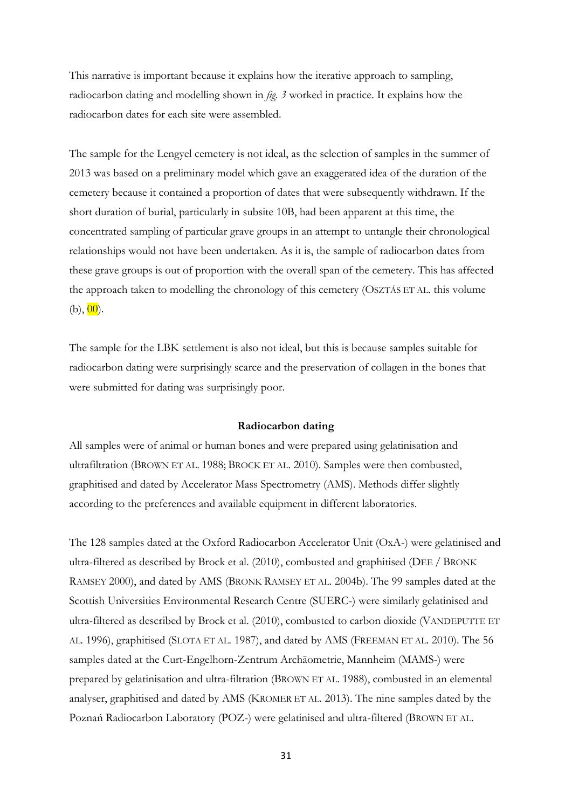This narrative is important because it explains how the iterative approach to sampling, radiocarbon dating and modelling shown in *fig. 3* worked in practice. It explains how the radiocarbon dates for each site were assembled.

The sample for the Lengyel cemetery is not ideal, as the selection of samples in the summer of 2013 was based on a preliminary model which gave an exaggerated idea of the duration of the cemetery because it contained a proportion of dates that were subsequently withdrawn. If the short duration of burial, particularly in subsite 10B, had been apparent at this time, the concentrated sampling of particular grave groups in an attempt to untangle their chronological relationships would not have been undertaken. As it is, the sample of radiocarbon dates from these grave groups is out of proportion with the overall span of the cemetery. This has affected the approach taken to modelling the chronology of this cemetery (OSZTÁS ET AL. this volume  $(b), 00$ .

The sample for the LBK settlement is also not ideal, but this is because samples suitable for radiocarbon dating were surprisingly scarce and the preservation of collagen in the bones that were submitted for dating was surprisingly poor.

#### **Radiocarbon dating**

All samples were of animal or human bones and were prepared using gelatinisation and ultrafiltration (BROWN ET AL. 1988; BROCK ET AL. 2010). Samples were then combusted, graphitised and dated by Accelerator Mass Spectrometry (AMS). Methods differ slightly according to the preferences and available equipment in different laboratories.

The 128 samples dated at the Oxford Radiocarbon Accelerator Unit (OxA-) were gelatinised and ultra-filtered as described by Brock et al. (2010), combusted and graphitised (DEE / BRONK RAMSEY 2000), and dated by AMS (BRONK RAMSEY ET AL. 2004b). The 99 samples dated at the Scottish Universities Environmental Research Centre (SUERC-) were similarly gelatinised and ultra-filtered as described by Brock et al. (2010), combusted to carbon dioxide (VANDEPUTTE ET AL. 1996), graphitised (SLOTA ET AL. 1987), and dated by AMS (FREEMAN ET AL. 2010). The 56 samples dated at the Curt-Engelhorn-Zentrum Archäometrie, Mannheim (MAMS-) were prepared by gelatinisation and ultra-filtration (BROWN ET AL. 1988), combusted in an elemental analyser, graphitised and dated by AMS (KROMER ET AL. 2013). The nine samples dated by the Poznań Radiocarbon Laboratory (POZ-) were gelatinised and ultra-filtered (BROWN ET AL.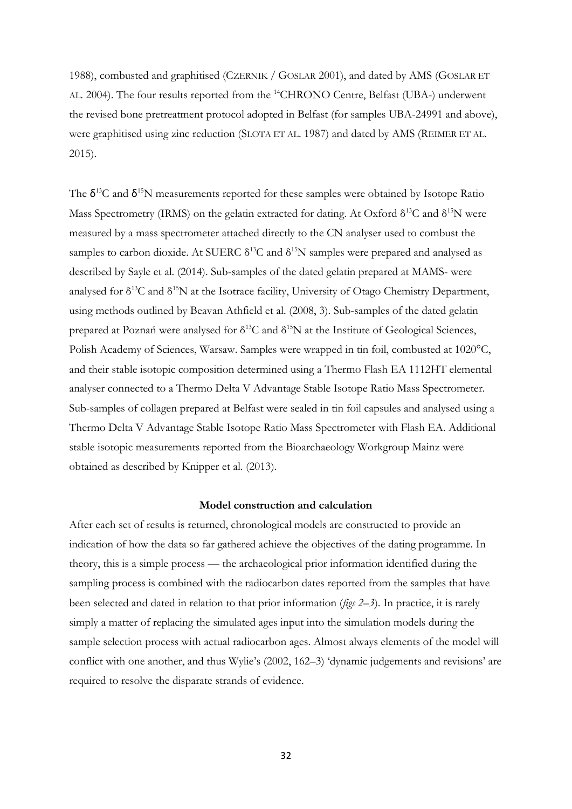1988), combusted and graphitised (CZERNIK / GOSLAR 2001), and dated by AMS (GOSLAR ET AL. 2004). The four results reported from the <sup>14</sup>CHRONO Centre, Belfast (UBA-) underwent the revised bone pretreatment protocol adopted in Belfast (for samples UBA-24991 and above), were graphitised using zinc reduction (SLOTA ET AL. 1987) and dated by AMS (REIMER ET AL. 2015).

The  $\delta^{13}$ C and  $\delta^{15}$ N measurements reported for these samples were obtained by Isotope Ratio Mass Spectrometry (IRMS) on the gelatin extracted for dating. At Oxford  $\delta^{13}C$  and  $\delta^{15}N$  were measured by a mass spectrometer attached directly to the CN analyser used to combust the samples to carbon dioxide. At SUERC  $\delta^{13}$ C and  $\delta^{15}$ N samples were prepared and analysed as described by Sayle et al. (2014). Sub-samples of the dated gelatin prepared at MAMS- were analysed for  $\delta^{13}C$  and  $\delta^{15}N$  at the Isotrace facility, University of Otago Chemistry Department, using methods outlined by Beavan Athfield et al. (2008, 3). Sub-samples of the dated gelatin prepared at Poznań were analysed for  $\delta^{13}C$  and  $\delta^{15}N$  at the Institute of Geological Sciences, Polish Academy of Sciences, Warsaw. Samples were wrapped in tin foil, combusted at 1020°C, and their stable isotopic composition determined using a Thermo Flash EA 1112HT elemental analyser connected to a Thermo Delta V Advantage Stable Isotope Ratio Mass Spectrometer. Sub-samples of collagen prepared at Belfast were sealed in tin foil capsules and analysed using a Thermo Delta V Advantage Stable Isotope Ratio Mass Spectrometer with Flash EA. Additional stable isotopic measurements reported from the Bioarchaeology Workgroup Mainz were obtained as described by Knipper et al. (2013).

#### **Model construction and calculation**

After each set of results is returned, chronological models are constructed to provide an indication of how the data so far gathered achieve the objectives of the dating programme. In theory, this is a simple process — the archaeological prior information identified during the sampling process is combined with the radiocarbon dates reported from the samples that have been selected and dated in relation to that prior information (*figs 2–3*). In practice, it is rarely simply a matter of replacing the simulated ages input into the simulation models during the sample selection process with actual radiocarbon ages. Almost always elements of the model will conflict with one another, and thus Wylie's (2002, 162–3) 'dynamic judgements and revisions' are required to resolve the disparate strands of evidence.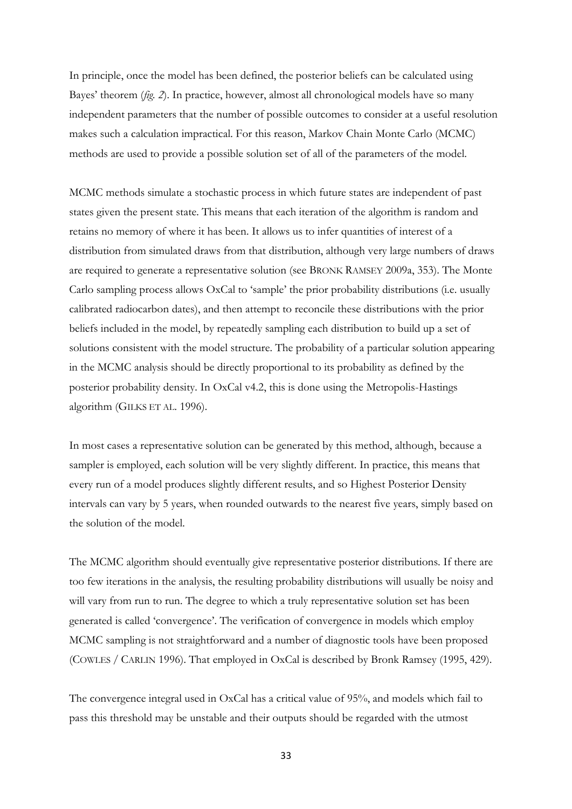In principle, once the model has been defined, the posterior beliefs can be calculated using Bayes' theorem (*fig. 2*). In practice, however, almost all chronological models have so many independent parameters that the number of possible outcomes to consider at a useful resolution makes such a calculation impractical. For this reason, Markov Chain Monte Carlo (MCMC) methods are used to provide a possible solution set of all of the parameters of the model.

MCMC methods simulate a stochastic process in which future states are independent of past states given the present state. This means that each iteration of the algorithm is random and retains no memory of where it has been. It allows us to infer quantities of interest of a distribution from simulated draws from that distribution, although very large numbers of draws are required to generate a representative solution (see BRONK RAMSEY 2009a, 353). The Monte Carlo sampling process allows OxCal to 'sample' the prior probability distributions (i.e. usually calibrated radiocarbon dates), and then attempt to reconcile these distributions with the prior beliefs included in the model, by repeatedly sampling each distribution to build up a set of solutions consistent with the model structure. The probability of a particular solution appearing in the MCMC analysis should be directly proportional to its probability as defined by the posterior probability density. In OxCal v4.2, this is done using the Metropolis-Hastings algorithm (GILKS ET AL. 1996).

In most cases a representative solution can be generated by this method, although, because a sampler is employed, each solution will be very slightly different. In practice, this means that every run of a model produces slightly different results, and so Highest Posterior Density intervals can vary by 5 years, when rounded outwards to the nearest five years, simply based on the solution of the model.

The MCMC algorithm should eventually give representative posterior distributions. If there are too few iterations in the analysis, the resulting probability distributions will usually be noisy and will vary from run to run. The degree to which a truly representative solution set has been generated is called 'convergence'. The verification of convergence in models which employ MCMC sampling is not straightforward and a number of diagnostic tools have been proposed (COWLES / CARLIN 1996). That employed in OxCal is described by Bronk Ramsey (1995, 429).

The convergence integral used in OxCal has a critical value of 95%, and models which fail to pass this threshold may be unstable and their outputs should be regarded with the utmost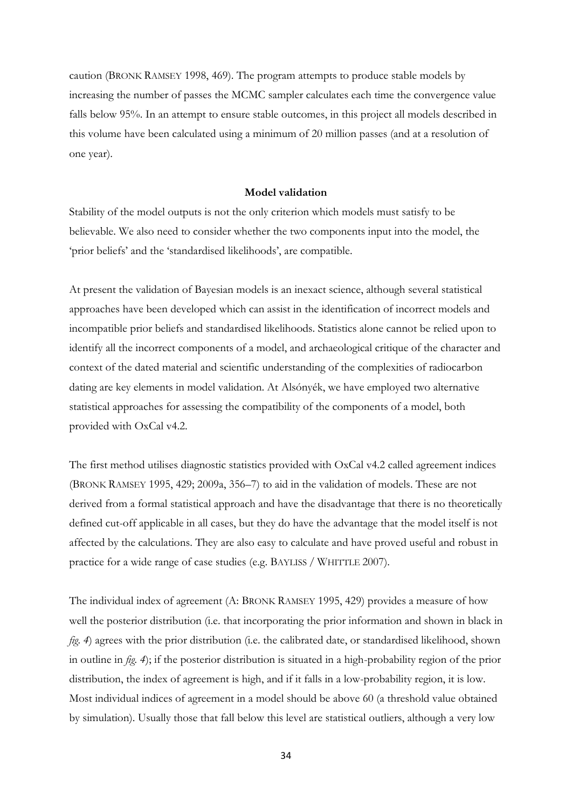caution (BRONK RAMSEY 1998, 469). The program attempts to produce stable models by increasing the number of passes the MCMC sampler calculates each time the convergence value falls below 95%. In an attempt to ensure stable outcomes, in this project all models described in this volume have been calculated using a minimum of 20 million passes (and at a resolution of one year).

#### **Model validation**

Stability of the model outputs is not the only criterion which models must satisfy to be believable. We also need to consider whether the two components input into the model, the 'prior beliefs' and the 'standardised likelihoods', are compatible.

At present the validation of Bayesian models is an inexact science, although several statistical approaches have been developed which can assist in the identification of incorrect models and incompatible prior beliefs and standardised likelihoods. Statistics alone cannot be relied upon to identify all the incorrect components of a model, and archaeological critique of the character and context of the dated material and scientific understanding of the complexities of radiocarbon dating are key elements in model validation. At Alsónyék, we have employed two alternative statistical approaches for assessing the compatibility of the components of a model, both provided with OxCal v4.2.

The first method utilises diagnostic statistics provided with OxCal v4.2 called agreement indices (BRONK RAMSEY 1995, 429; 2009a, 356–7) to aid in the validation of models. These are not derived from a formal statistical approach and have the disadvantage that there is no theoretically defined cut-off applicable in all cases, but they do have the advantage that the model itself is not affected by the calculations. They are also easy to calculate and have proved useful and robust in practice for a wide range of case studies (e.g. BAYLISS / WHITTLE 2007).

The individual index of agreement (A: BRONK RAMSEY 1995, 429) provides a measure of how well the posterior distribution (i.e. that incorporating the prior information and shown in black in *fig. 4*) agrees with the prior distribution (i.e. the calibrated date, or standardised likelihood, shown in outline in *fig. 4*); if the posterior distribution is situated in a high-probability region of the prior distribution, the index of agreement is high, and if it falls in a low-probability region, it is low. Most individual indices of agreement in a model should be above 60 (a threshold value obtained by simulation). Usually those that fall below this level are statistical outliers, although a very low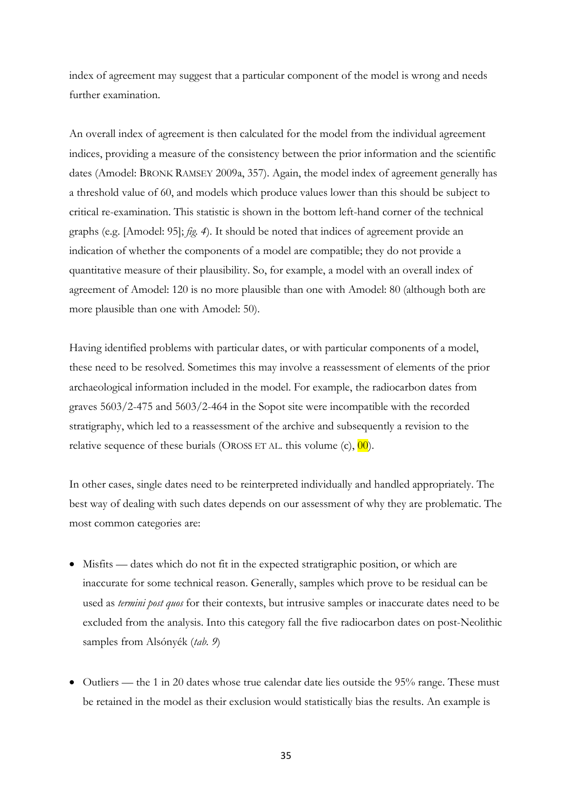index of agreement may suggest that a particular component of the model is wrong and needs further examination.

An overall index of agreement is then calculated for the model from the individual agreement indices, providing a measure of the consistency between the prior information and the scientific dates (Amodel: BRONK RAMSEY 2009a, 357). Again, the model index of agreement generally has a threshold value of 60, and models which produce values lower than this should be subject to critical re-examination. This statistic is shown in the bottom left-hand corner of the technical graphs (e.g. [Amodel: 95]; *fig. 4*). It should be noted that indices of agreement provide an indication of whether the components of a model are compatible; they do not provide a quantitative measure of their plausibility. So, for example, a model with an overall index of agreement of Amodel: 120 is no more plausible than one with Amodel: 80 (although both are more plausible than one with Amodel: 50).

Having identified problems with particular dates, or with particular components of a model, these need to be resolved. Sometimes this may involve a reassessment of elements of the prior archaeological information included in the model. For example, the radiocarbon dates from graves 5603/2-475 and 5603/2-464 in the Sopot site were incompatible with the recorded stratigraphy, which led to a reassessment of the archive and subsequently a revision to the relative sequence of these burials (OROSS ET AL. this volume  $(c)$ ,  $\overline{00}$ ).

In other cases, single dates need to be reinterpreted individually and handled appropriately. The best way of dealing with such dates depends on our assessment of why they are problematic. The most common categories are:

- Misfits dates which do not fit in the expected stratigraphic position, or which are inaccurate for some technical reason. Generally, samples which prove to be residual can be used as *termini post quos* for their contexts, but intrusive samples or inaccurate dates need to be excluded from the analysis. Into this category fall the five radiocarbon dates on post-Neolithic samples from Alsónyék (*tab. 9*)
- $\bullet$  Outliers the 1 in 20 dates whose true calendar date lies outside the 95% range. These must be retained in the model as their exclusion would statistically bias the results. An example is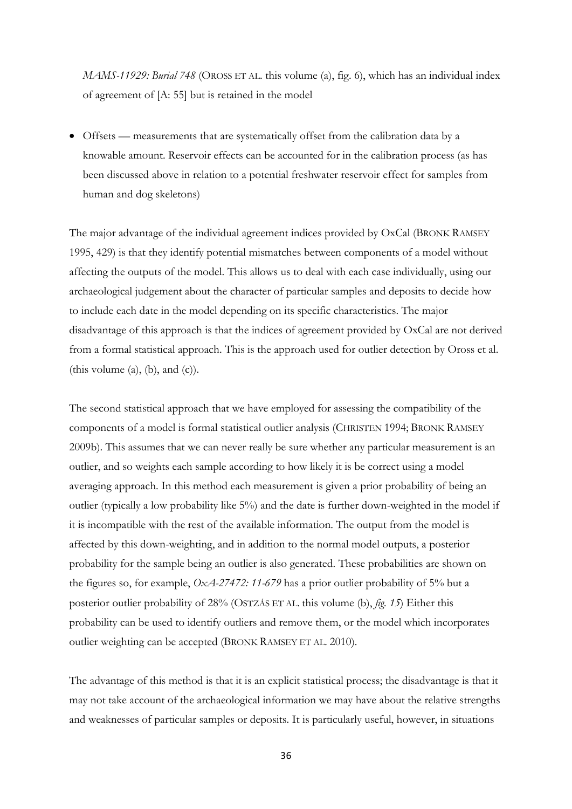*MAMS-11929: Burial 748* (OROSS ET AL. this volume (a), fig. 6), which has an individual index of agreement of [A: 55] but is retained in the model

 Offsets — measurements that are systematically offset from the calibration data by a knowable amount. Reservoir effects can be accounted for in the calibration process (as has been discussed above in relation to a potential freshwater reservoir effect for samples from human and dog skeletons)

The major advantage of the individual agreement indices provided by OxCal (BRONK RAMSEY 1995, 429) is that they identify potential mismatches between components of a model without affecting the outputs of the model. This allows us to deal with each case individually, using our archaeological judgement about the character of particular samples and deposits to decide how to include each date in the model depending on its specific characteristics. The major disadvantage of this approach is that the indices of agreement provided by OxCal are not derived from a formal statistical approach. This is the approach used for outlier detection by Oross et al. (this volume  $(a)$ ,  $(b)$ , and  $(c)$ ).

The second statistical approach that we have employed for assessing the compatibility of the components of a model is formal statistical outlier analysis (CHRISTEN 1994; BRONK RAMSEY 2009b). This assumes that we can never really be sure whether any particular measurement is an outlier, and so weights each sample according to how likely it is be correct using a model averaging approach. In this method each measurement is given a prior probability of being an outlier (typically a low probability like 5%) and the date is further down-weighted in the model if it is incompatible with the rest of the available information. The output from the model is affected by this down-weighting, and in addition to the normal model outputs, a posterior probability for the sample being an outlier is also generated. These probabilities are shown on the figures so, for example, *OxA-27472: 11-679* has a prior outlier probability of 5% but a posterior outlier probability of 28% (OSTZÁS ET AL. this volume (b), *fig. 15*) Either this probability can be used to identify outliers and remove them, or the model which incorporates outlier weighting can be accepted (BRONK RAMSEY ET AL*.* 2010).

The advantage of this method is that it is an explicit statistical process; the disadvantage is that it may not take account of the archaeological information we may have about the relative strengths and weaknesses of particular samples or deposits. It is particularly useful, however, in situations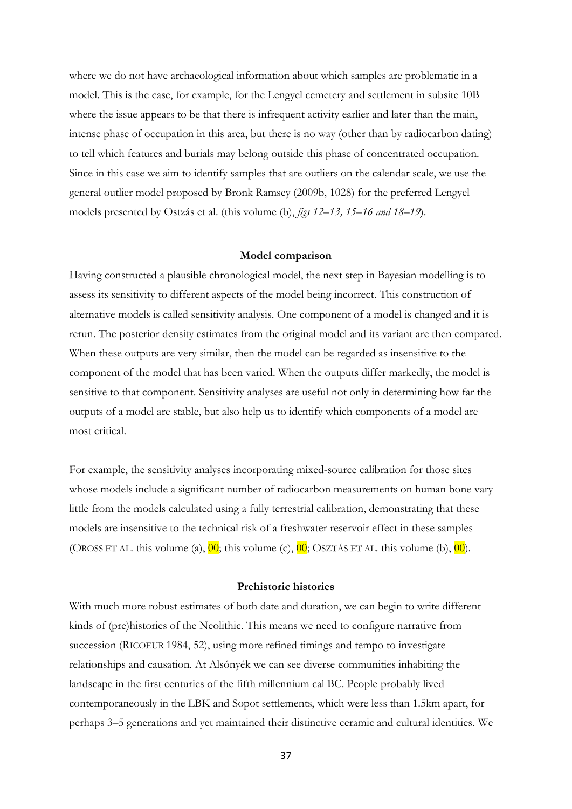where we do not have archaeological information about which samples are problematic in a model. This is the case, for example, for the Lengyel cemetery and settlement in subsite 10B where the issue appears to be that there is infrequent activity earlier and later than the main, intense phase of occupation in this area, but there is no way (other than by radiocarbon dating) to tell which features and burials may belong outside this phase of concentrated occupation. Since in this case we aim to identify samples that are outliers on the calendar scale, we use the general outlier model proposed by Bronk Ramsey (2009b, 1028) for the preferred Lengyel models presented by Ostzás et al. (this volume (b), *figs 12–13, 15–16 and 18–19*).

#### **Model comparison**

Having constructed a plausible chronological model, the next step in Bayesian modelling is to assess its sensitivity to different aspects of the model being incorrect. This construction of alternative models is called sensitivity analysis. One component of a model is changed and it is rerun. The posterior density estimates from the original model and its variant are then compared. When these outputs are very similar, then the model can be regarded as insensitive to the component of the model that has been varied. When the outputs differ markedly, the model is sensitive to that component. Sensitivity analyses are useful not only in determining how far the outputs of a model are stable, but also help us to identify which components of a model are most critical.

For example, the sensitivity analyses incorporating mixed-source calibration for those sites whose models include a significant number of radiocarbon measurements on human bone vary little from the models calculated using a fully terrestrial calibration, demonstrating that these models are insensitive to the technical risk of a freshwater reservoir effect in these samples (OROSS ET AL. this volume (a),  $\overline{00}$ ; this volume (c),  $\overline{00}$ ; OSZTÁS ET AL. this volume (b),  $\overline{00}$ ).

#### **Prehistoric histories**

With much more robust estimates of both date and duration, we can begin to write different kinds of (pre)histories of the Neolithic. This means we need to configure narrative from succession (RICOEUR 1984, 52), using more refined timings and tempo to investigate relationships and causation. At Alsónyék we can see diverse communities inhabiting the landscape in the first centuries of the fifth millennium cal BC. People probably lived contemporaneously in the LBK and Sopot settlements, which were less than 1.5km apart, for perhaps 3–5 generations and yet maintained their distinctive ceramic and cultural identities. We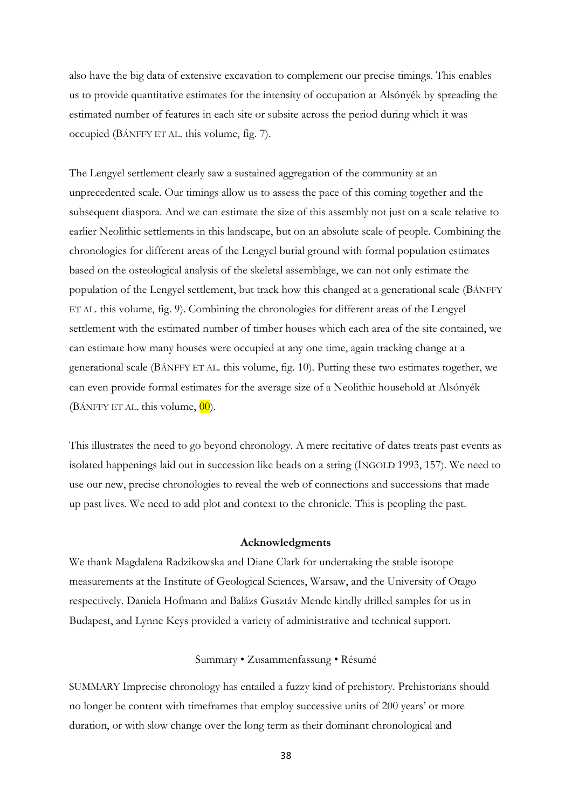also have the big data of extensive excavation to complement our precise timings. This enables us to provide quantitative estimates for the intensity of occupation at Alsónyék by spreading the estimated number of features in each site or subsite across the period during which it was occupied (BÁNFFY ET AL. this volume, fig. 7).

The Lengyel settlement clearly saw a sustained aggregation of the community at an unprecedented scale. Our timings allow us to assess the pace of this coming together and the subsequent diaspora. And we can estimate the size of this assembly not just on a scale relative to earlier Neolithic settlements in this landscape, but on an absolute scale of people. Combining the chronologies for different areas of the Lengyel burial ground with formal population estimates based on the osteological analysis of the skeletal assemblage, we can not only estimate the population of the Lengyel settlement, but track how this changed at a generational scale (BÁNFFY ET AL. this volume, fig. 9). Combining the chronologies for different areas of the Lengyel settlement with the estimated number of timber houses which each area of the site contained, we can estimate how many houses were occupied at any one time, again tracking change at a generational scale (BÁNFFY ET AL. this volume, fig. 10). Putting these two estimates together, we can even provide formal estimates for the average size of a Neolithic household at Alsónyék  $(B$ ÁNFFY ET AL. this volume,  $00$ ).

This illustrates the need to go beyond chronology. A mere recitative of dates treats past events as isolated happenings laid out in succession like beads on a string (INGOLD 1993, 157). We need to use our new, precise chronologies to reveal the web of connections and successions that made up past lives. We need to add plot and context to the chronicle. This is peopling the past.

#### **Acknowledgments**

We thank Magdalena Radzikowska and Diane Clark for undertaking the stable isotope measurements at the Institute of Geological Sciences, Warsaw, and the University of Otago respectively. Daniela Hofmann and Balázs Gusztáv Mende kindly drilled samples for us in Budapest, and Lynne Keys provided a variety of administrative and technical support.

#### Summary • Zusammenfassung • Résumé

SUMMARY Imprecise chronology has entailed a fuzzy kind of prehistory. Prehistorians should no longer be content with timeframes that employ successive units of 200 years' or more duration, or with slow change over the long term as their dominant chronological and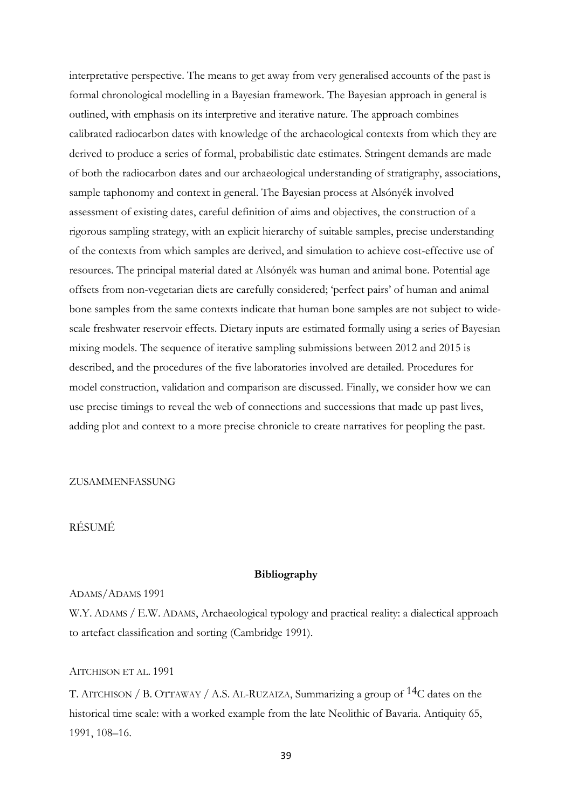interpretative perspective. The means to get away from very generalised accounts of the past is formal chronological modelling in a Bayesian framework. The Bayesian approach in general is outlined, with emphasis on its interpretive and iterative nature. The approach combines calibrated radiocarbon dates with knowledge of the archaeological contexts from which they are derived to produce a series of formal, probabilistic date estimates. Stringent demands are made of both the radiocarbon dates and our archaeological understanding of stratigraphy, associations, sample taphonomy and context in general. The Bayesian process at Alsónyék involved assessment of existing dates, careful definition of aims and objectives, the construction of a rigorous sampling strategy, with an explicit hierarchy of suitable samples, precise understanding of the contexts from which samples are derived, and simulation to achieve cost-effective use of resources. The principal material dated at Alsónyék was human and animal bone. Potential age offsets from non-vegetarian diets are carefully considered; 'perfect pairs' of human and animal bone samples from the same contexts indicate that human bone samples are not subject to widescale freshwater reservoir effects. Dietary inputs are estimated formally using a series of Bayesian mixing models. The sequence of iterative sampling submissions between 2012 and 2015 is described, and the procedures of the five laboratories involved are detailed. Procedures for model construction, validation and comparison are discussed. Finally, we consider how we can use precise timings to reveal the web of connections and successions that made up past lives, adding plot and context to a more precise chronicle to create narratives for peopling the past.

#### ZUSAMMENFASSUNG

## RÉSUMÉ

#### **Bibliography**

#### ADAMS/ADAMS 1991

W.Y. ADAMS / E.W. ADAMS, Archaeological typology and practical reality: a dialectical approach to artefact classification and sorting (Cambridge 1991).

#### AITCHISON ET AL. 1991

T. AITCHISON / B. OTTAWAY / A.S. AL-RUZAIZA, Summarizing a group of 14C dates on the historical time scale: with a worked example from the late Neolithic of Bavaria. Antiquity 65, 1991, 108–16.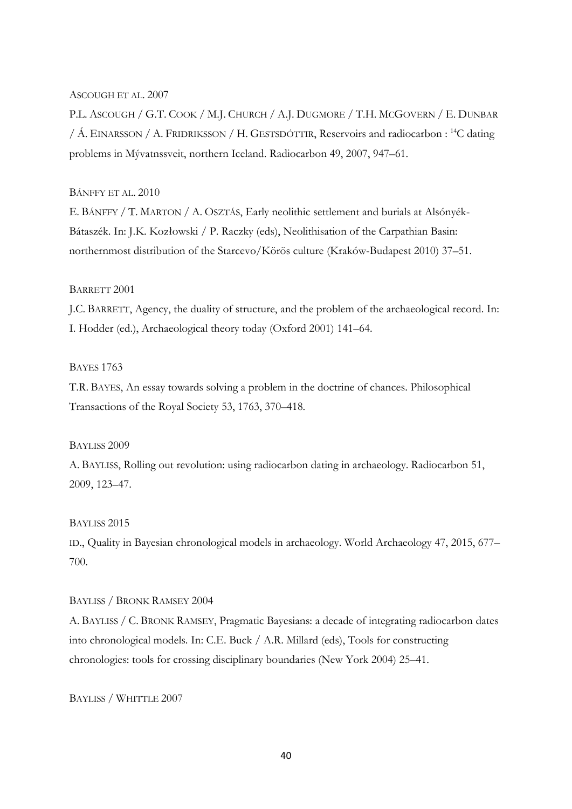## ASCOUGH ET AL. 2007

P.L. ASCOUGH / G.T. COOK / M.J. CHURCH / A.J. DUGMORE / T.H. MCGOVERN / E. DUNBAR / Á. EINARSSON / A. FRIÐRIKSSON / H. GESTSDÓTTIR, Reservoirs and radiocarbon : <sup>14</sup>C dating problems in Mývatnssveit, northern Iceland. Radiocarbon 49, 2007, 947–61.

## BÁNFFY ET AL. 2010

E. BÁNFFY / T. MARTON / A. OSZTÁS, Early neolithic settlement and burials at Alsónyék-Bátaszék. In: J.K. Kozłowski / P. Raczky (eds), Neolithisation of the Carpathian Basin: northernmost distribution of the Starcevo/Körös culture (Kraków-Budapest 2010) 37–51.

## BARRETT 2001

J.C. BARRETT, Agency, the duality of structure, and the problem of the archaeological record. In: I. Hodder (ed.), Archaeological theory today (Oxford 2001) 141–64.

## BAYES 1763

T.R. BAYES, An essay towards solving a problem in the doctrine of chances. Philosophical Transactions of the Royal Society 53, 1763, 370–418.

#### BAYLISS 2009

A. BAYLISS, Rolling out revolution: using radiocarbon dating in archaeology. Radiocarbon 51, 2009, 123–47.

## BAYLISS 2015

ID., Quality in Bayesian chronological models in archaeology. World Archaeology 47, 2015, 677– 700.

#### BAYLISS / BRONK RAMSEY 2004

A. BAYLISS / C. BRONK RAMSEY, Pragmatic Bayesians: a decade of integrating radiocarbon dates into chronological models. In: C.E. Buck / A.R. Millard (eds), Tools for constructing chronologies: tools for crossing disciplinary boundaries (New York 2004) 25–41.

BAYLISS / WHITTLE 2007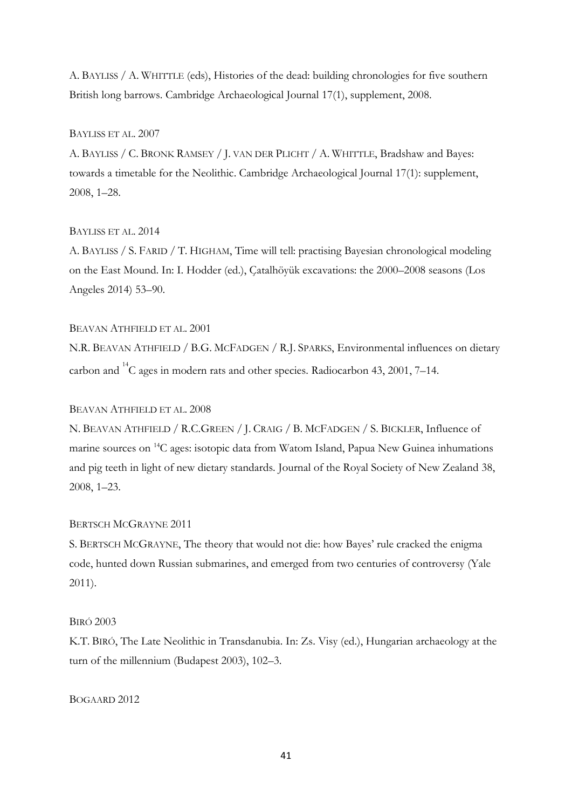A. BAYLISS / A. WHITTLE (eds), Histories of the dead: building chronologies for five southern British long barrows. Cambridge Archaeological Journal 17(1), supplement, 2008.

## BAYLISS ET AL. 2007

A. BAYLISS / C. BRONK RAMSEY / J. VAN DER PLICHT / A. WHITTLE, Bradshaw and Bayes: towards a timetable for the Neolithic. Cambridge Archaeological Journal 17(1): supplement, 2008, 1–28.

## BAYLISS ET AL. 2014

A. BAYLISS / S. FARID / T. HIGHAM, Time will tell: practising Bayesian chronological modeling on the East Mound. In: I. Hodder (ed.), Çatalhöyük excavations: the 2000–2008 seasons (Los Angeles 2014) 53–90.

#### BEAVAN ATHFIELD ET AL. 2001

N.R. BEAVAN ATHFIELD / B.G. MCFADGEN / R.J. SPARKS, Environmental influences on dietary carbon and  $^{14}$ C ages in modern rats and other species. Radiocarbon 43, 2001, 7–14.

#### BEAVAN ATHFIELD ET AL. 2008

N. BEAVAN ATHFIELD / R.C.GREEN / J. CRAIG / B. MCFADGEN / S. BICKLER, Influence of marine sources on <sup>14</sup>C ages: isotopic data from Watom Island, Papua New Guinea inhumations and pig teeth in light of new dietary standards. Journal of the Royal Society of New Zealand 38, 2008, 1–23.

#### BERTSCH MCGRAYNE 2011

S. BERTSCH MCGRAYNE, The theory that would not die: how Bayes' rule cracked the enigma code, hunted down Russian submarines, and emerged from two centuries of controversy (Yale 2011).

#### BIRÓ 2003

K.T. BIRÓ, The Late Neolithic in Transdanubia. In: Zs. Visy (ed.), Hungarian archaeology at the turn of the millennium (Budapest 2003), 102–3.

## BOGAARD 2012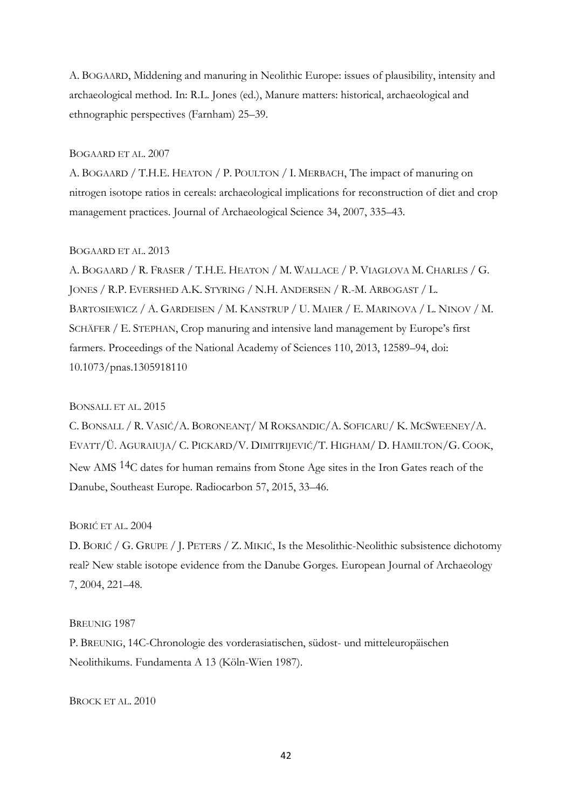A. BOGAARD, Middening and manuring in Neolithic Europe: issues of plausibility, intensity and archaeological method. In: R.L. Jones (ed.), Manure matters: historical, archaeological and ethnographic perspectives (Farnham) 25–39.

#### BOGAARD ET AL. 2007

A. BOGAARD / T.H.E. HEATON / P. POULTON / I. MERBACH, The impact of manuring on nitrogen isotope ratios in cereals: archaeological implications for reconstruction of diet and crop management practices. Journal of Archaeological Science 34, 2007, 335–43.

## BOGAARD ET AL. 2013

A. BOGAARD / R. FRASER / T.H.E. HEATON / M. WALLACE / P. VIAGLOVA M. CHARLES / G. JONES / R.P. EVERSHED A.K. STYRING / N.H. ANDERSEN / R.-M. ARBOGAST / L. BARTOSIEWICZ / A. GARDEISEN / M. KANSTRUP / U. MAIER / E. MARINOVA / L. NINOV / M. SCHÄFER / E. STEPHAN, Crop manuring and intensive land management by Europe's first farmers. Proceedings of the National Academy of Sciences 110, 2013, 12589–94, doi: 10.1073/pnas.1305918110

## BONSALL ET AL. 2015

C. BONSALL / R. VASIĆ/A. BORONEANŢ/ M ROKSANDIC/A. SOFICARU/ K. MCSWEENEY/A. EVATT/Ü. AGURAIUJA/ C. PICKARD/V. DIMITRIJEVIĆ/T. HIGHAM/ D. HAMILTON/G. COOK, New AMS 14C dates for human remains from Stone Age sites in the Iron Gates reach of the Danube, Southeast Europe. Radiocarbon 57, 2015, 33–46.

## BORIĆ ET AL. 2004

D. BORIĆ / G. GRUPE / J. PETERS / Z. MIKIĆ, Is the Mesolithic-Neolithic subsistence dichotomy real? New stable isotope evidence from the Danube Gorges. European Journal of Archaeology 7, 2004, 221–48.

#### BREUNIG 1987

P. BREUNIG, 14C-Chronologie des vorderasiatischen, südost- und mitteleuropäischen Neolithikums. Fundamenta A 13 (Köln-Wien 1987).

BROCK ET AL. 2010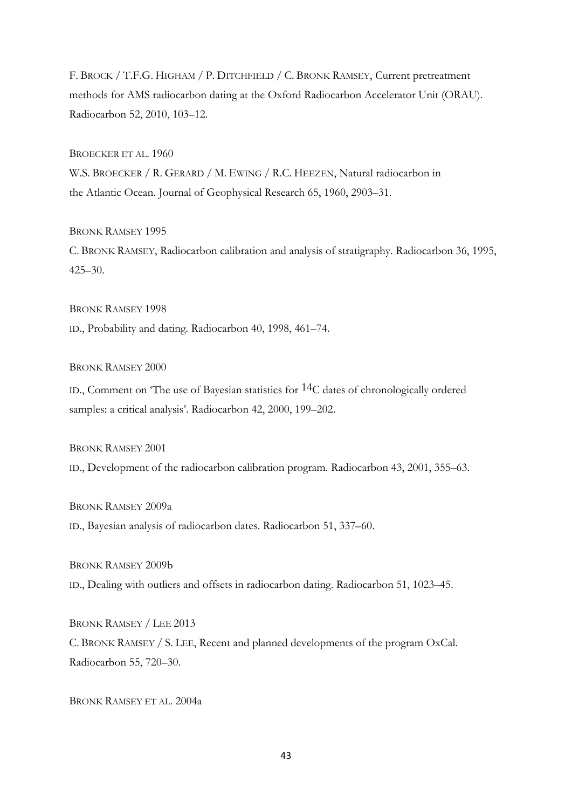F. BROCK / T.F.G. HIGHAM / P. DITCHFIELD / C. BRONK RAMSEY, Current pretreatment methods for AMS radiocarbon dating at the Oxford Radiocarbon Accelerator Unit (ORAU). Radiocarbon 52, 2010, 103–12.

BROECKER ET AL. 1960

W.S. BROECKER / R. GERARD / M. EWING / R.C. HEEZEN, Natural radiocarbon in the Atlantic Ocean. Journal of Geophysical Research 65, 1960, 2903–31.

BRONK RAMSEY 1995 C. BRONK RAMSEY, Radiocarbon calibration and analysis of stratigraphy. Radiocarbon 36, 1995, 425–30.

BRONK RAMSEY 1998 ID., Probability and dating. Radiocarbon 40, 1998, 461–74.

BRONK RAMSEY 2000

ID., Comment on <sup> $\sigma$ </sup>The use of Bayesian statistics for <sup>14</sup>C dates of chronologically ordered samples: a critical analysis'. Radiocarbon 42, 2000, 199–202.

BRONK RAMSEY 2001

ID., Development of the radiocarbon calibration program. Radiocarbon 43, 2001, 355–63.

BRONK RAMSEY 2009a ID., Bayesian analysis of radiocarbon dates. Radiocarbon 51, 337–60.

BRONK RAMSEY 2009b

ID., Dealing with outliers and offsets in radiocarbon dating. Radiocarbon 51, 1023–45.

BRONK RAMSEY / LEE 2013 C. BRONK RAMSEY / S. LEE, Recent and planned developments of the program OxCal. Radiocarbon 55, 720–30.

BRONK RAMSEY ET AL. 2004a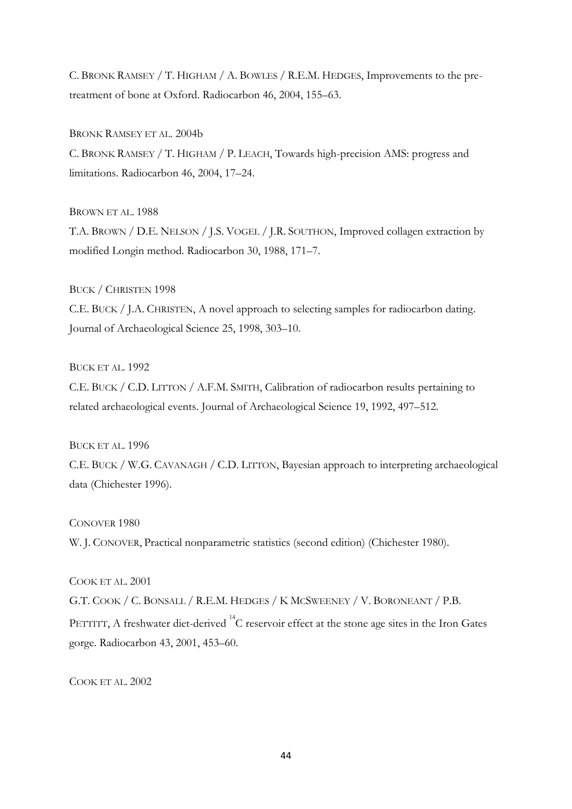C. BRONK RAMSEY / T. HIGHAM / A. BOWLES / R.E.M. HEDGES, Improvements to the pretreatment of bone at Oxford. Radiocarbon 46, 2004, 155–63.

BRONK RAMSEY ET AL. 2004b C. BRONK RAMSEY / T. HIGHAM / P. LEACH, Towards high-precision AMS: progress and limitations. Radiocarbon 46, 2004, 17–24.

BROWN ET AL. 1988 T.A. BROWN / D.E. NELSON / J.S. VOGEL / J.R. SOUTHON, Improved collagen extraction by modified Longin method. Radiocarbon 30, 1988, 171–7.

BUCK / CHRISTEN 1998 C.E. BUCK / J.A. CHRISTEN, A novel approach to selecting samples for radiocarbon dating. Journal of Archaeological Science 25, 1998, 303–10.

BUCK ET AL. 1992

C.E. BUCK / C.D. LITTON / A.F.M. SMITH, Calibration of radiocarbon results pertaining to related archaeological events. Journal of Archaeological Science 19, 1992, 497–512.

BUCK ET AL. 1996

C.E. BUCK / W.G. CAVANAGH / C.D. LITTON, Bayesian approach to interpreting archaeological data (Chichester 1996).

CONOVER 1980

W. J. CONOVER, Practical nonparametric statistics (second edition) (Chichester 1980).

COOK ET AL. 2001

G.T. COOK / C. BONSALL / R.E.M. HEDGES / K MCSWEENEY / V. BORONEANT / P.B. PETTITT, A freshwater diet-derived  $^{14}$ C reservoir effect at the stone age sites in the Iron Gates gorge. Radiocarbon 43, 2001, 453–60.

COOK ET AL. 2002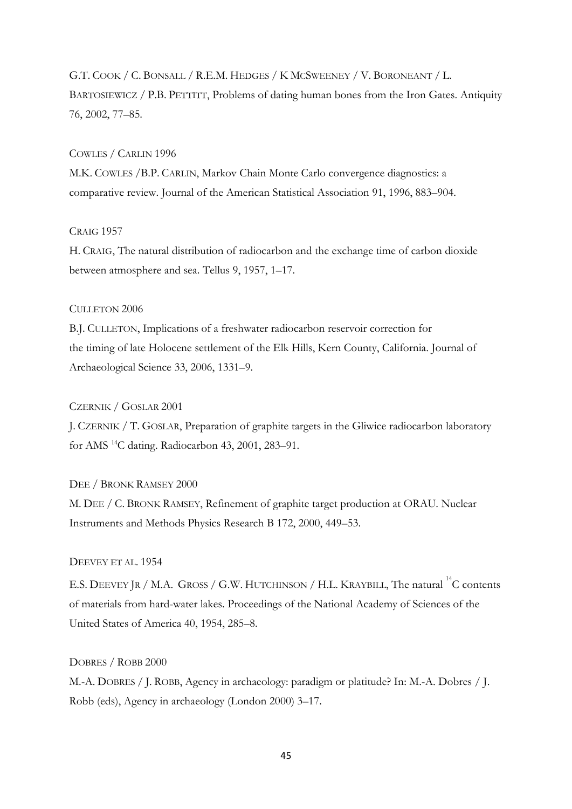## G.T. COOK / C. BONSALL / R.E.M. HEDGES / K MCSWEENEY / V. BORONEANT / L. BARTOSIEWICZ / P.B. PETTITT, Problems of dating human bones from the Iron Gates. Antiquity 76, 2002, 77–85.

#### COWLES / CARLIN 1996

M.K. COWLES /B.P. CARLIN, Markov Chain Monte Carlo convergence diagnostics: a comparative review. Journal of the American Statistical Association 91, 1996, 883–904.

## CRAIG 1957

H. CRAIG, The natural distribution of radiocarbon and the exchange time of carbon dioxide between atmosphere and sea. Tellus 9, 1957, 1–17.

## CULLETON 2006

B.J. CULLETON, Implications of a freshwater radiocarbon reservoir correction for the timing of late Holocene settlement of the Elk Hills, Kern County, California. Journal of Archaeological Science 33, 2006, 1331–9.

## CZERNIK / GOSLAR 2001

J. CZERNIK / T. GOSLAR, Preparation of graphite targets in the Gliwice radiocarbon laboratory for AMS <sup>14</sup>C dating. Radiocarbon 43, 2001, 283–91.

## DEE / BRONK RAMSEY 2000

M. DEE / C. BRONK RAMSEY, Refinement of graphite target production at ORAU. Nuclear Instruments and Methods Physics Research B 172, 2000, 449–53.

## DEEVEY ET AL. 1954

E.S. DEEVEY JR / M.A. GROSS / G.W. HUTCHINSON / H.L. KRAYBILL, The natural <sup>14</sup>C contents of materials from hard-water lakes. Proceedings of the National Academy of Sciences of the United States of America 40, 1954, 285–8.

## DOBRES / ROBB 2000

M.-A. DOBRES / J. ROBB, Agency in archaeology: paradigm or platitude? In: M.-A. Dobres / J. Robb (eds), Agency in archaeology (London 2000) 3–17.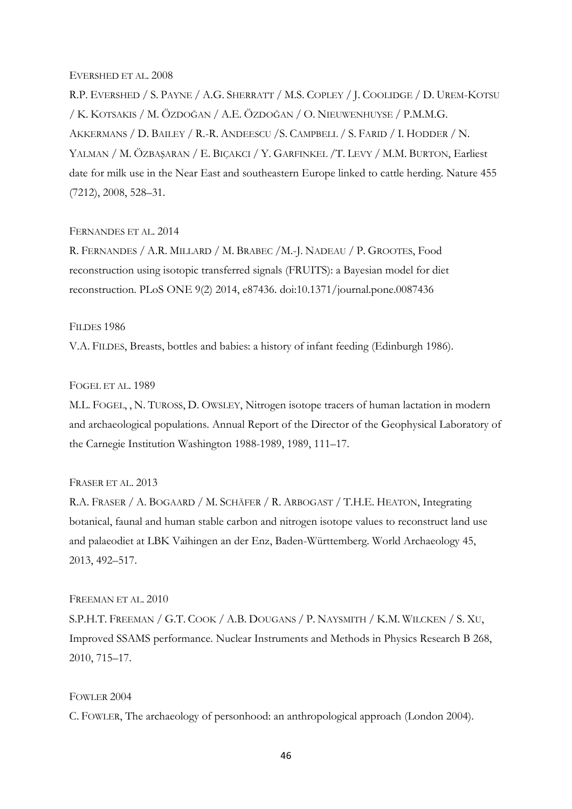#### EVERSHED ET AL. 2008

R.P. EVERSHED / S. PAYNE / A.G. SHERRATT / M.S. COPLEY / J. COOLIDGE / D. UREM-KOTSU / K. KOTSAKIS / M. ÖZDOĞAN / A.E. ÖZDOĞAN / O. NIEUWENHUYSE / P.M.M.G. AKKERMANS / D. BAILEY / R.-R. ANDEESCU /S. CAMPBELL / S. FARID / I. HODDER / N. YALMAN / M. ÖZBAŞARAN / E. BIÇAKCI / Y. GARFINKEL /T. LEVY / M.M. BURTON, Earliest date for milk use in the Near East and southeastern Europe linked to cattle herding. Nature 455 (7212), 2008, 528–31.

## FERNANDES ET AL. 2014

R. FERNANDES / A.R. MILLARD / M. BRABEC /M.-J. NADEAU / P. GROOTES, Food reconstruction using isotopic transferred signals (FRUITS): a Bayesian model for diet reconstruction. PLoS ONE 9(2) 2014, e87436. doi:10.1371/journal.pone.0087436

## FILDES 1986

V.A. FILDES, Breasts, bottles and babies: a history of infant feeding (Edinburgh 1986).

## FOGEL ET AL. 1989

M.L. FOGEL, , N. TUROSS, D. OWSLEY, Nitrogen isotope tracers of human lactation in modern and archaeological populations. Annual Report of the Director of the Geophysical Laboratory of the Carnegie Institution Washington 1988-1989, 1989, 111–17.

#### FRASER ET AL. 2013

R.A. FRASER / A. BOGAARD / M. SCHÄFER / R. ARBOGAST / T.H.E. HEATON, Integrating botanical, faunal and human stable carbon and nitrogen isotope values to reconstruct land use and palaeodiet at LBK Vaihingen an der Enz, Baden-Württemberg. World Archaeology 45, 2013, 492–517.

## FREEMAN ET AL. 2010

S.P.H.T. FREEMAN / G.T. COOK / A.B. DOUGANS / P. NAYSMITH / K.M. WILCKEN / S. XU, Improved SSAMS performance. Nuclear Instruments and Methods in Physics Research B 268, 2010, 715–17.

#### FOWLER 2004

C. FOWLER, The archaeology of personhood: an anthropological approach (London 2004).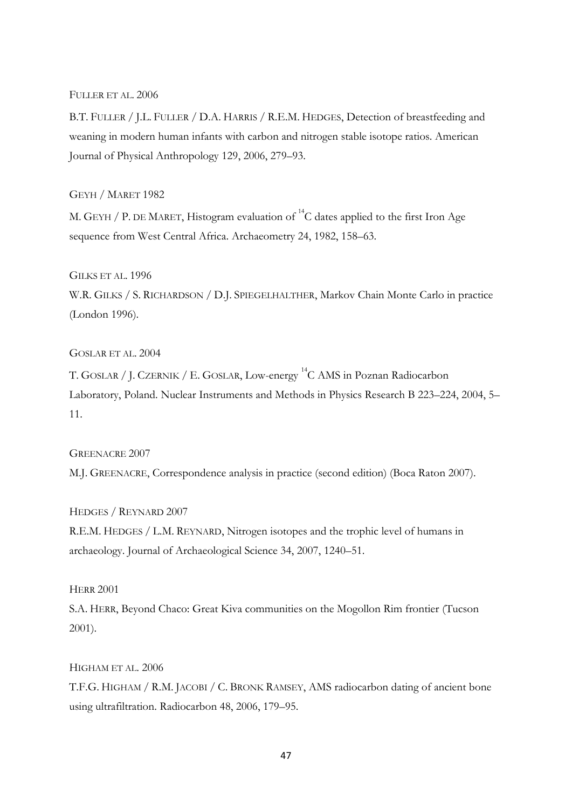## FULLER ET AL. 2006

B.T. FULLER / J.L. FULLER / D.A. HARRIS / R.E.M. HEDGES, Detection of breastfeeding and weaning in modern human infants with carbon and nitrogen stable isotope ratios. American Journal of Physical Anthropology 129, 2006, 279–93.

## GEYH / MARET 1982

M. GEYH / P. DE MARET, Histogram evaluation of  $^{14}$ C dates applied to the first Iron Age sequence from West Central Africa. Archaeometry 24, 1982, 158–63.

## GILKS ET AL. 1996

W.R. GILKS / S. RICHARDSON / D.J. SPIEGELHALTHER, Markov Chain Monte Carlo in practice (London 1996).

## GOSLAR ET AL. 2004

T. GOSLAR / J. CZERNIK / E. GOSLAR, Low-energy <sup>14</sup>C AMS in Poznan Radiocarbon Laboratory, Poland. Nuclear Instruments and Methods in Physics Research B 223–224, 2004, 5– 11.

#### GREENACRE 2007

M.J. GREENACRE, Correspondence analysis in practice (second edition) (Boca Raton 2007).

HEDGES / REYNARD 2007 R.E.M. HEDGES / L.M. REYNARD, Nitrogen isotopes and the trophic level of humans in archaeology. Journal of Archaeological Science 34, 2007, 1240–51.

## **HERR 2001**

S.A. HERR, Beyond Chaco: Great Kiva communities on the Mogollon Rim frontier (Tucson 2001).

HIGHAM ET AL. 2006 T.F.G. HIGHAM / R.M. JACOBI / C. BRONK RAMSEY, AMS radiocarbon dating of ancient bone using ultrafiltration. Radiocarbon 48, 2006, 179–95.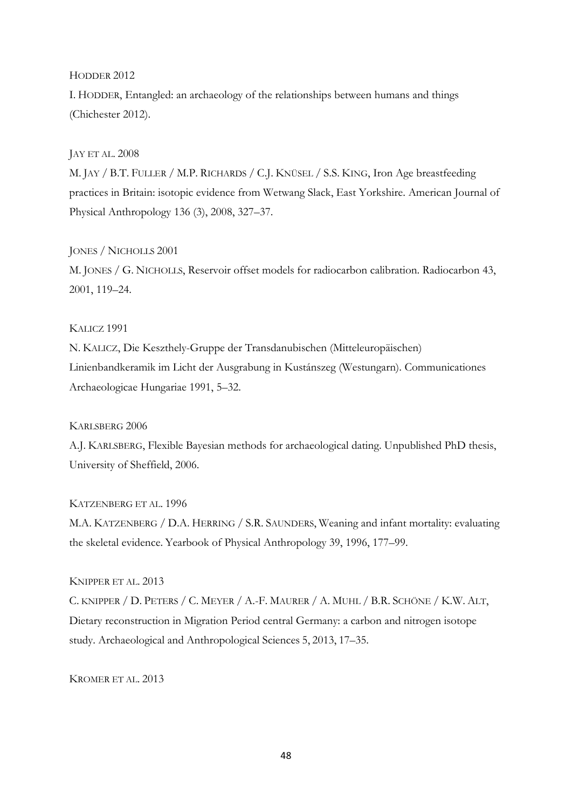#### HODDER 2012

I. HODDER, Entangled: an archaeology of the relationships between humans and things (Chichester 2012).

## JAY ET AL. 2008

M. JAY / B.T. FULLER / M.P. RICHARDS / C.J. KNÜSEL / S.S. KING, Iron Age breastfeeding practices in Britain: isotopic evidence from Wetwang Slack, East Yorkshire. American Journal of Physical Anthropology 136 (3), 2008, 327–37.

## JONES / NICHOLLS 2001

M. JONES / G. NICHOLLS, Reservoir offset models for radiocarbon calibration. Radiocarbon 43, 2001, 119–24.

#### KALICZ 1991

N. KALICZ, Die Keszthely-Gruppe der Transdanubischen (Mitteleuropäischen) Linienbandkeramik im Licht der Ausgrabung in Kustánszeg (Westungarn). Communicationes Archaeologicae Hungariae 1991, 5–32.

## KARLSBERG 2006

A.J. KARLSBERG, Flexible Bayesian methods for archaeological dating. Unpublished PhD thesis, University of Sheffield, 2006.

## KATZENBERG ET AL. 1996

M.A. KATZENBERG / D.A. HERRING / S.R. SAUNDERS, Weaning and infant mortality: evaluating the skeletal evidence. Yearbook of Physical Anthropology 39, 1996, 177–99.

#### KNIPPER ET AL. 2013

C. KNIPPER / D. PETERS / C. MEYER / A.-F. MAURER / A. MUHL / B.R. SCHÖNE / K.W. ALT, Dietary reconstruction in Migration Period central Germany: a carbon and nitrogen isotope study. Archaeological and Anthropological Sciences 5, 2013, 17–35.

## KROMER ET AL. 2013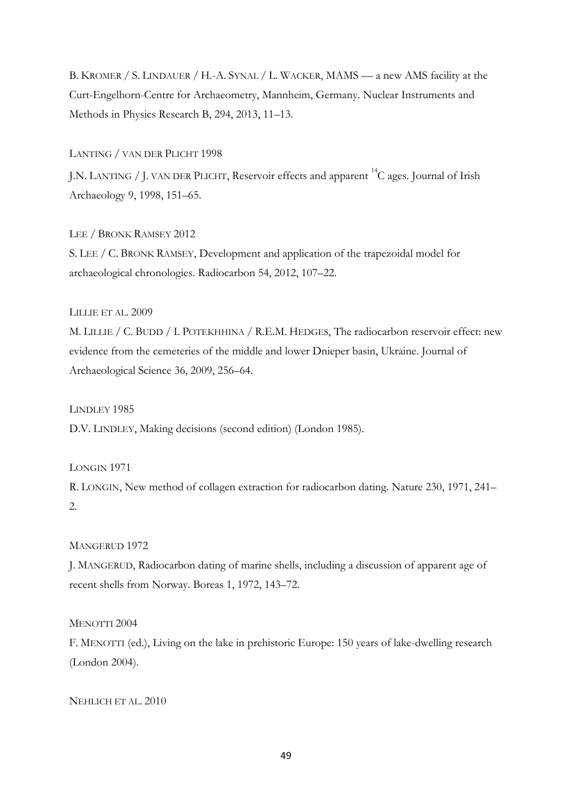B. KROMER / S. LINDAUER / H.-A. SYNAL / L. WACKER, MAMS — a new AMS facility at the Curt-Engelhorn-Centre for Archaeometry, Mannheim, Germany. Nuclear Instruments and Methods in Physics Research B, 294, 2013, 11–13.

LANTING / VAN DER PLICHT 1998

J.N. LANTING / J. VAN DER PLICHT, Reservoir effects and apparent <sup>14</sup>C ages. Journal of Irish Archaeology 9, 1998, 151–65.

LEE / BRONK RAMSEY 2012 S. LEE / C. BRONK RAMSEY, Development and application of the trapezoidal model for archaeological chronologies. Radiocarbon 54, 2012, 107–22.

LILLIE ET AL. 2009

M. LILLIE / C. BUDD / I. POTEKHHINA / R.E.M. HEDGES, The radiocarbon reservoir effect: new evidence from the cemeteries of the middle and lower Dnieper basin, Ukraine. Journal of Archaeological Science 36, 2009, 256–64.

LINDLEY 1985

D.V. LINDLEY, Making decisions (second edition) (London 1985).

LONGIN 1971

R. LONGIN, New method of collagen extraction for radiocarbon dating. Nature 230, 1971, 241– 2.

MANGERUD 1972

J. MANGERUD, Radiocarbon dating of marine shells, including a discussion of apparent age of recent shells from Norway. Boreas 1, 1972, 143–72.

MENOTTI 2004

F. MENOTTI (ed.), Living on the lake in prehistoric Europe: 150 years of lake-dwelling research (London 2004).

NEHLICH ET AL. 2010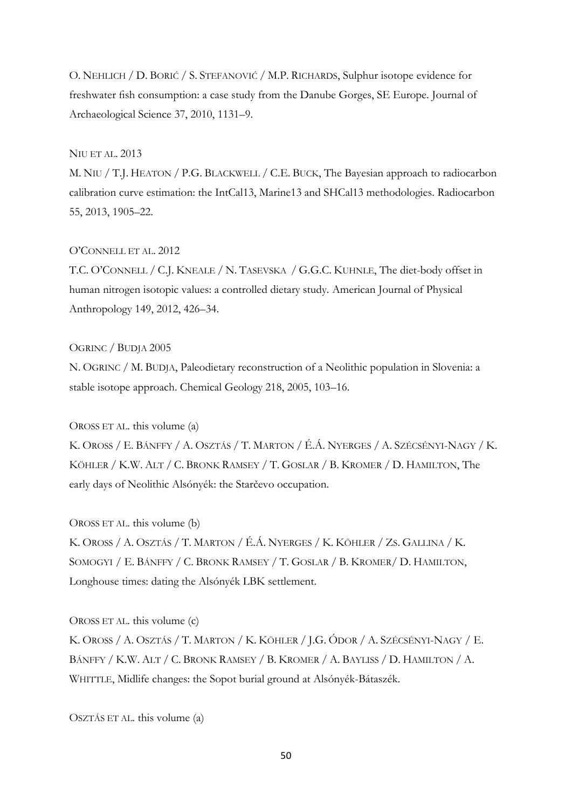O. NEHLICH / D. BORIĆ / S. STEFANOVIĆ / M.P. RICHARDS, Sulphur isotope evidence for freshwater fish consumption: a case study from the Danube Gorges, SE Europe. Journal of Archaeological Science 37, 2010, 1131–9.

## NIU ET AL. 2013

M. NIU / T.J. HEATON / P.G. BLACKWELL / C.E. BUCK, The Bayesian approach to radiocarbon calibration curve estimation: the IntCal13, Marine13 and SHCal13 methodologies. Radiocarbon 55, 2013, 1905–22.

## O'CONNELL ET AL. 2012

T.C. O'CONNELL / C.J. KNEALE / N. TASEVSKA / G.G.C. KUHNLE, The diet-body offset in human nitrogen isotopic values: a controlled dietary study*.* American Journal of Physical Anthropology 149, 2012, 426–34.

#### OGRINC / BUDJA 2005

N. OGRINC / M. BUDJA, Paleodietary reconstruction of a Neolithic population in Slovenia: a stable isotope approach. Chemical Geology 218, 2005, 103–16.

OROSS ET AL. this volume (a)

K. OROSS / E. BÁNFFY / A. OSZTÁS / T. MARTON / É.Á. NYERGES / A. SZÉCSÉNYI-NAGY / K. KÖHLER / K.W. ALT / C. BRONK RAMSEY / T. GOSLAR / B. KROMER / D. HAMILTON, The early days of Neolithic Alsónyék: the Starčevo occupation.

OROSS ET AL. this volume (b)

K. OROSS / A. OSZTÁS / T. MARTON / É.Á. NYERGES / K. KÖHLER / ZS. GALLINA / K. SOMOGYI / E. BÁNFFY / C. BRONK RAMSEY / T. GOSLAR / B. KROMER/ D. HAMILTON, Longhouse times: dating the Alsónyék LBK settlement.

OROSS ET AL. this volume (c)

K. OROSS / A. OSZTÁS / T. MARTON / K. KÖHLER / J.G. ÓDOR / A. SZÉCSÉNYI-NAGY / E. BÁNFFY / K.W. ALT / C. BRONK RAMSEY / B. KROMER / A. BAYLISS / D. HAMILTON / A. WHITTLE, Midlife changes: the Sopot burial ground at Alsónyék-Bátaszék.

OSZTÁS ET AL. this volume (a)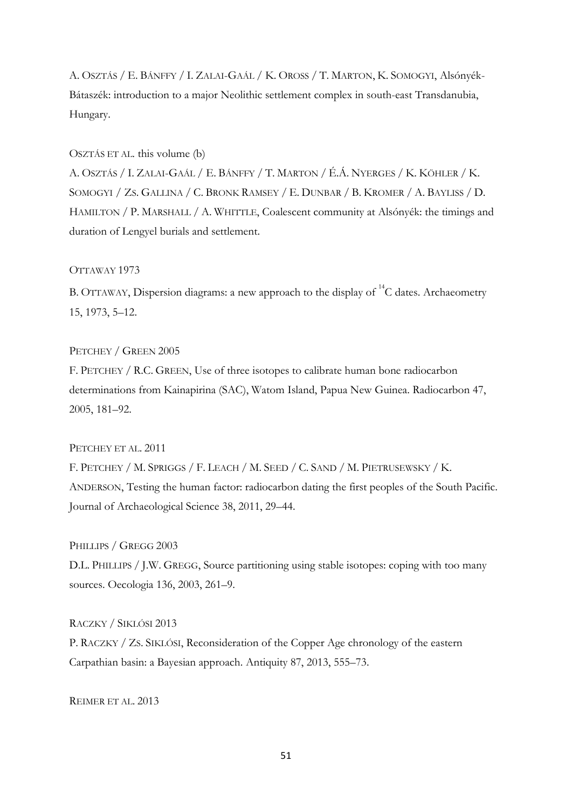A. OSZTÁS / E. BÁNFFY / I. ZALAI-GAÁL / K. OROSS / T. MARTON, K. SOMOGYI, Alsónyék-Bátaszék: introduction to a major Neolithic settlement complex in south-east Transdanubia, Hungary.

#### OSZTÁS ET AL. this volume (b)

A. OSZTÁS / I. ZALAI-GAÁL / E. BÁNFFY / T. MARTON / É.Á. NYERGES / K. KÖHLER / K. SOMOGYI / ZS. GALLINA / C. BRONK RAMSEY / E. DUNBAR / B. KROMER / A. BAYLISS / D. HAMILTON / P. MARSHALL / A. WHITTLE, Coalescent community at Alsónyék: the timings and duration of Lengyel burials and settlement.

## OTTAWAY 1973

B. OTTAWAY, Dispersion diagrams: a new approach to the display of  $^{14}C$  dates. Archaeometry 15, 1973, 5–12.

#### PETCHEY / GREEN 2005

F. PETCHEY / R.C. GREEN, Use of three isotopes to calibrate human bone radiocarbon determinations from Kainapirina (SAC), Watom Island, Papua New Guinea. Radiocarbon 47, 2005, 181–92.

## PETCHEY ET AL. 2011

F. PETCHEY / M. SPRIGGS / F. LEACH / M. SEED / C. SAND / M. PIETRUSEWSKY / K. ANDERSON, Testing the human factor: radiocarbon dating the first peoples of the South Pacific. Journal of Archaeological Science 38, 2011, 29–44.

#### PHILLIPS / GREGG 2003

D.L. PHILLIPS / J.W. GREGG, Source partitioning using stable isotopes: coping with too many sources. Oecologia 136, 2003, 261–9.

#### RACZKY / SIKLÓSI 2013

P. RACZKY / ZS. SIKLÓSI, Reconsideration of the Copper Age chronology of the eastern Carpathian basin: a Bayesian approach. Antiquity 87, 2013, 555–73.

REIMER ET AL. 2013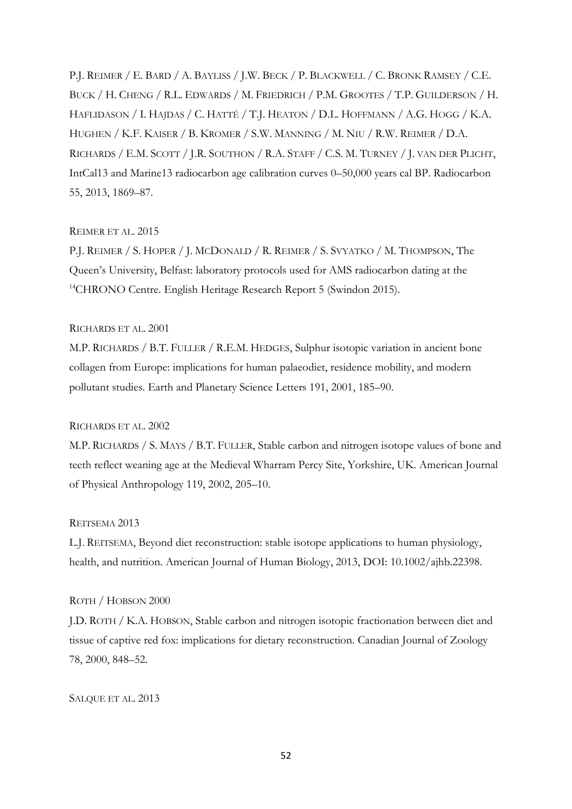P.J. REIMER / E. BARD / A. BAYLISS / J.W. BECK / P. BLACKWELL / C. BRONK RAMSEY / C.E. BUCK / H. CHENG / R.L. EDWARDS / M. FRIEDRICH / P.M. GROOTES / T.P. GUILDERSON / H. HAFLIDASON / I. HAJDAS / C. HATTÉ / T.J. HEATON / D.L. HOFFMANN / A.G. HOGG / K.A. HUGHEN / K.F. KAISER / B. KROMER / S.W. MANNING / M. NIU / R.W. REIMER / D.A. RICHARDS / E.M. SCOTT / J.R. SOUTHON / R.A. STAFF / C.S. M. TURNEY / J. VAN DER PLICHT, IntCal13 and Marine13 radiocarbon age calibration curves 0–50,000 years cal BP. Radiocarbon 55, 2013, 1869–87.

## REIMER ET AL. 2015

P.J. REIMER / S. HOPER / J. MCDONALD / R. REIMER / S. SVYATKO / M. THOMPSON, The Queen's University, Belfast: laboratory protocols used for AMS radiocarbon dating at the <sup>14</sup>CHRONO Centre. English Heritage Research Report 5 (Swindon 2015).

## RICHARDS ET AL. 2001

M.P. RICHARDS / B.T. FULLER / R.E.M. HEDGES, Sulphur isotopic variation in ancient bone collagen from Europe: implications for human palaeodiet, residence mobility, and modern pollutant studies. Earth and Planetary Science Letters 191, 2001, 185–90.

## RICHARDS ET AL. 2002

M.P. RICHARDS / S. MAYS / B.T. FULLER, Stable carbon and nitrogen isotope values of bone and teeth reflect weaning age at the Medieval Wharram Percy Site, Yorkshire, UK. American Journal of Physical Anthropology 119, 2002, 205–10.

## REITSEMA 2013

L.J. REITSEMA, Beyond diet reconstruction: stable isotope applications to human physiology, health, and nutrition. American Journal of Human Biology, 2013, DOI: 10.1002/ajhb.22398.

## ROTH / HOBSON 2000

J.D. ROTH / K.A. HOBSON, Stable carbon and nitrogen isotopic fractionation between diet and tissue of captive red fox: implications for dietary reconstruction. Canadian Journal of Zoology 78, 2000, 848–52.

SALQUE ET AL. 2013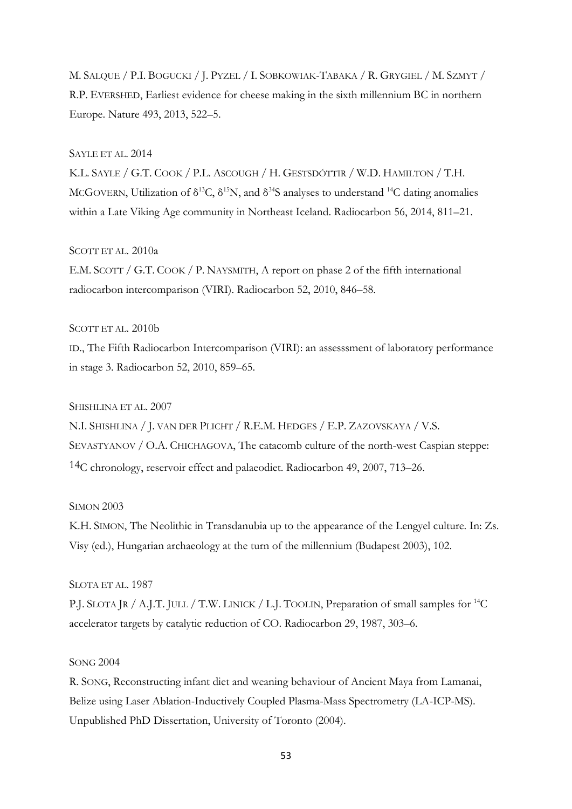M. SALQUE / P.I. BOGUCKI / J. PYZEL / I. SOBKOWIAK-TABAKA / R. GRYGIEL / M. SZMYT / R.P. EVERSHED, Earliest evidence for cheese making in the sixth millennium BC in northern Europe. Nature 493, 2013, 522–5.

## SAYLE ET AL. 2014

K.L. SAYLE / G.T. COOK / P.L. ASCOUGH / H. GESTSDÓTTIR / W.D. HAMILTON / T.H. MCGOVERN, Utilization of  $\delta^{13}C$ ,  $\delta^{15}N$ , and  $\delta^{34}S$  analyses to understand <sup>14</sup>C dating anomalies within a Late Viking Age community in Northeast Iceland. Radiocarbon 56, 2014, 811–21.

## SCOTT ET AL. 2010a

E.M. SCOTT / G.T. COOK / P. NAYSMITH, A report on phase 2 of the fifth international radiocarbon intercomparison (VIRI). Radiocarbon 52, 2010, 846–58.

#### SCOTT ET AL. 2010b

ID., The Fifth Radiocarbon Intercomparison (VIRI): an assesssment of laboratory performance in stage 3. Radiocarbon 52, 2010, 859–65.

## SHISHLINA ET AL. 2007

N.I. SHISHLINA / J. VAN DER PLICHT / R.E.M. HEDGES / E.P. ZAZOVSKAYA / V.S. SEVASTYANOV / O.A. CHICHAGOVA, The catacomb culture of the north-west Caspian steppe: 14C chronology, reservoir effect and palaeodiet. Radiocarbon 49, 2007, 713–26.

#### SIMON 2003

K.H. SIMON, The Neolithic in Transdanubia up to the appearance of the Lengyel culture. In: Zs. Visy (ed.), Hungarian archaeology at the turn of the millennium (Budapest 2003), 102.

## SLOTA ET AL. 1987

P.J. SLOTA JR / A.J.T. JULL / T.W. LINICK / L.J. TOOLIN, Preparation of small samples for <sup>14</sup>C accelerator targets by catalytic reduction of CO. Radiocarbon 29, 1987, 303–6.

## SONG 2004

R. SONG, Reconstructing infant diet and weaning behaviour of Ancient Maya from Lamanai, Belize using Laser Ablation-Inductively Coupled Plasma-Mass Spectrometry (LA-ICP-MS). Unpublished PhD Dissertation, University of Toronto (2004).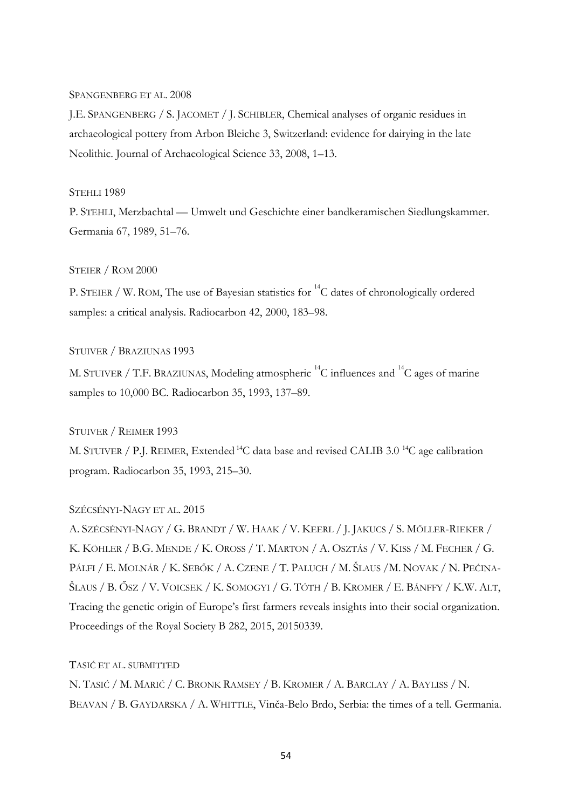## SPANGENBERG ET AL. 2008

J.E. SPANGENBERG / S. JACOMET / J. SCHIBLER, Chemical analyses of organic residues in archaeological pottery from Arbon Bleiche 3, Switzerland: evidence for dairying in the late Neolithic. Journal of Archaeological Science 33, 2008, 1–13.

## STEHLI 1989

P. STEHLI, Merzbachtal — Umwelt und Geschichte einer bandkeramischen Siedlungskammer. Germania 67, 1989, 51–76.

## STEIER / ROM 2000

P. STEIER / W. ROM, The use of Bayesian statistics for  ${}^{14}C$  dates of chronologically ordered samples: a critical analysis. Radiocarbon 42, 2000, 183–98.

#### STUIVER / BRAZIUNAS 1993

M. STUIVER / T.F. BRAZIUNAS, Modeling atmospheric  $^{14}C$  influences and  $^{14}C$  ages of marine samples to 10,000 BC. Radiocarbon 35, 1993, 137–89.

## STUIVER / REIMER 1993

M. STUIVER / P.J. REIMER, Extended <sup>14</sup>C data base and revised CALIB 3.0<sup>14</sup>C age calibration program. Radiocarbon 35, 1993, 215–30.

## SZÉCSÉNYI-NAGY ET AL. 2015

A. SZÉCSÉNYI-NAGY / G. BRANDT / W. HAAK / V. KEERL / J. JAKUCS / S. MÖLLER-RIEKER / K. KÖHLER / B.G. MENDE / K. OROSS / T. MARTON / A. OSZTÁS / V. KISS / M. FECHER / G. PÁLFI / E. MOLNÁR / K. SEBŐK / A. CZENE / T. PALUCH / M. ŠLAUS / M. NOVAK / N. PEĆINA-ŠLAUS / B. ŐSZ / V. VOICSEK / K. SOMOGYI / G. TÓTH / B. KROMER / E. BÁNFFY / K.W. ALT, Tracing the genetic origin of Europe's first farmers reveals insights into their social organization. Proceedings of the Royal Society B 282, 2015, 20150339.

## TASIĆ ET AL. SUBMITTED

N. TASIĆ / M. MARIĆ / C. BRONK RAMSEY / B. KROMER / A. BARCLAY / A. BAYLISS / N. BEAVAN / B. GAYDARSKA / A. WHITTLE, Vinča-Belo Brdo, Serbia: the times of a tell. Germania.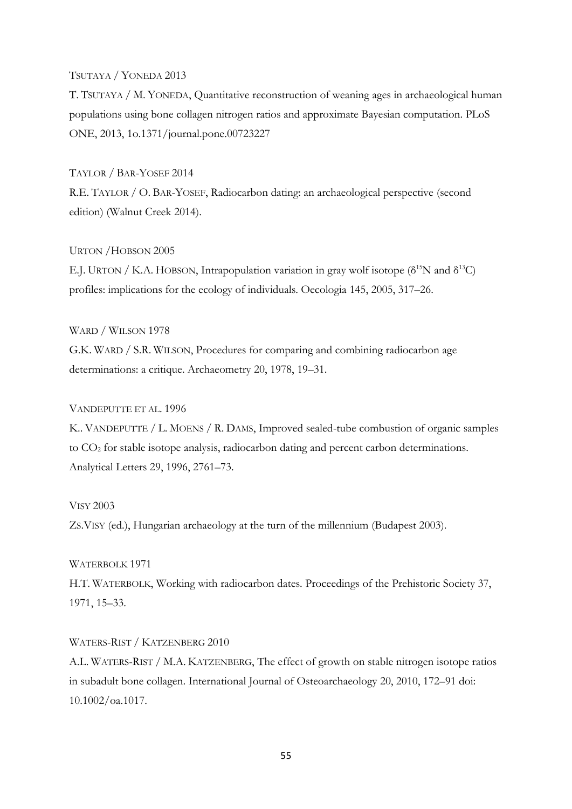## TSUTAYA / YONEDA 2013

T. TSUTAYA / M. YONEDA, Quantitative reconstruction of weaning ages in archaeological human populations using bone collagen nitrogen ratios and approximate Bayesian computation. PLoS ONE, 2013, 1o.1371/journal.pone.00723227

## TAYLOR / BAR-YOSEF 2014

R.E. TAYLOR / O. BAR-YOSEF, Radiocarbon dating: an archaeological perspective (second edition) (Walnut Creek 2014).

## URTON /HOBSON 2005

E.J. URTON / K.A. HOBSON, Intrapopulation variation in gray wolf isotope ( $\delta^{15}N$  and  $\delta^{13}C$ ) profiles: implications for the ecology of individuals. Oecologia 145, 2005, 317–26.

#### WARD / WILSON 1978

G.K. WARD / S.R. WILSON, Procedures for comparing and combining radiocarbon age determinations: a critique. Archaeometry 20, 1978, 19–31.

## VANDEPUTTE ET AL. 1996

K.. VANDEPUTTE / L. MOENS / R. DAMS, Improved sealed-tube combustion of organic samples to CO2 for stable isotope analysis, radiocarbon dating and percent carbon determinations. Analytical Letters 29, 1996, 2761–73.

#### VISY 2003

ZS.VISY (ed.), Hungarian archaeology at the turn of the millennium (Budapest 2003).

#### WATERBOLK 1971

H.T. WATERBOLK, Working with radiocarbon dates. Proceedings of the Prehistoric Society 37, 1971, 15–33.

#### WATERS-RIST / KATZENBERG 2010

A.L. WATERS-RIST / M.A. KATZENBERG, The effect of growth on stable nitrogen isotope ratios in subadult bone collagen. International Journal of Osteoarchaeology 20, 2010, 172–91 doi: 10.1002/oa.1017.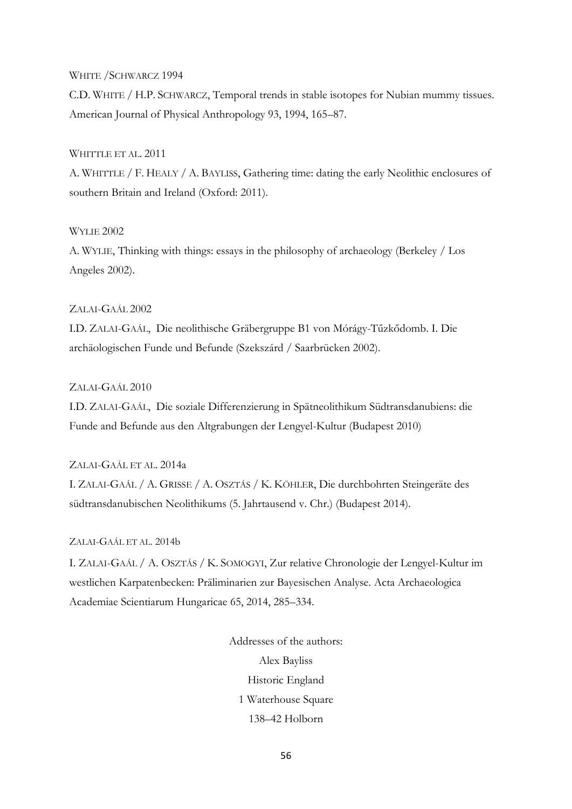#### WHITE /SCHWARCZ 1994

C.D. WHITE / H.P. SCHWARCZ, Temporal trends in stable isotopes for Nubian mummy tissues. American Journal of Physical Anthropology 93, 1994, 165–87.

## WHITTLE ET AL. 2011

A. WHITTLE / F. HEALY / A. BAYLISS, Gathering time: dating the early Neolithic enclosures of southern Britain and Ireland (Oxford: 2011).

## WYLIE 2002

A. WYLIE, Thinking with things: essays in the philosophy of archaeology (Berkeley / Los Angeles 2002).

## ZALAI-GAÁL 2002

I.D. ZALAI-GAÁL, Die neolithische Gräbergruppe B1 von Mórágy-Tűzkődomb. I. Die archäologischen Funde und Befunde (Szekszárd / Saarbrücken 2002).

## ZALAI-GAÁL 2010

I.D. ZALAI-GAÁL, Die soziale Differenzierung in Spätneolithikum Südtransdanubiens: die Funde and Befunde aus den Altgrabungen der Lengyel-Kultur (Budapest 2010)

## ZALAI-GAÁL ET AL. 2014a

I. ZALAI-GAÁL / A. GRISSE / A. OSZTÁS / K. KÖHLER, Die durchbohrten Steingeräte des südtransdanubischen Neolithikums (5. Jahrtausend v. Chr.) (Budapest 2014).

## ZALAI-GAÁL ET AL. 2014b

I. ZALAI-GAÁL / A. OSZTÁS / K. SOMOGYI, Zur relative Chronologie der Lengyel-Kultur im westlichen Karpatenbecken: Präliminarien zur Bayesischen Analyse. Acta Archaeologica Academiae Scientiarum Hungaricae 65, 2014, 285–334.

> Addresses of the authors: Alex Bayliss Historic England 1 Waterhouse Square 138–42 Holborn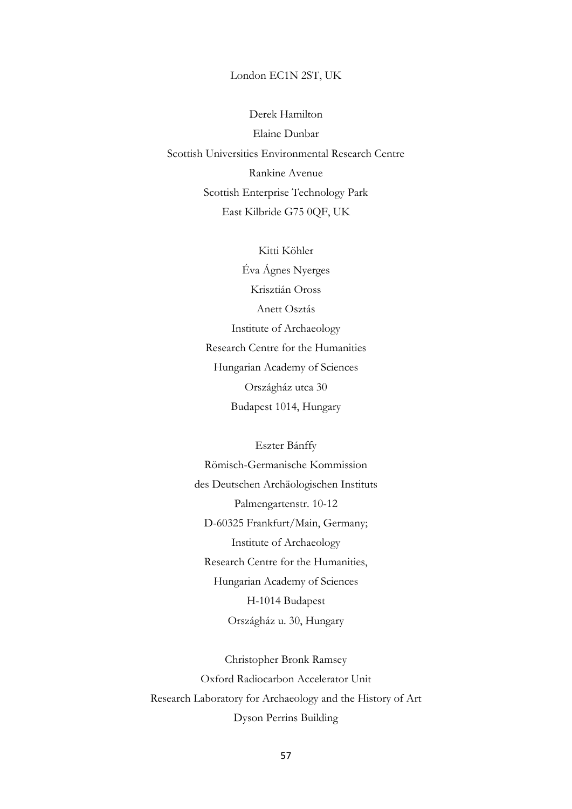#### London EC1N 2ST, UK

Derek Hamilton Elaine Dunbar Scottish Universities Environmental Research Centre Rankine Avenue Scottish Enterprise Technology Park East Kilbride G75 0QF, UK

> Kitti Köhler Éva Ágnes Nyerges Krisztián Oross Anett Osztás Institute of Archaeology Research Centre for the Humanities Hungarian Academy of Sciences Országház utca 30 Budapest 1014, Hungary

Eszter Bánffy Römisch-Germanische Kommission des Deutschen Archäologischen Instituts Palmengartenstr. 10-12 D-60325 Frankfurt/Main, Germany; Institute of Archaeology Research Centre for the Humanities, Hungarian Academy of Sciences H-1014 Budapest Országház u. 30, Hungary

Christopher Bronk Ramsey Oxford Radiocarbon Accelerator Unit Research Laboratory for Archaeology and the History of Art Dyson Perrins Building